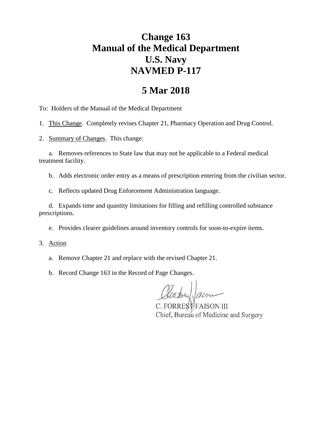### **Change 163 Manual of the Medical Department U.S. Navy NAVMED P-117**

### **5 Mar 2018**

To: Holders of the Manual of the Medical Department

1. This Change. Completely revises Chapter 21, Pharmacy Operation and Drug Control.

2. Summary of Changes. This change:

a. Removes references to State law that may not be applicable to a Federal medical treatment facility.

b. Adds electronic order entry as a means of prescription entering from the civilian sector.

c. Reflects updated Drug Enforcement Administration language.

d. Expands time and quantity limitations for filling and refilling controlled substance prescriptions.

e. Provides clearer guidelines around inventory controls for soon-to-expire items.

- 3. Action
	- a. Remove Chapter 21 and replace with the revised Chapter 21.
	- b. Record Change 163 in the Record of Page Changes.

Cluter Jain

Chief, Bureau of Medicine and Surgery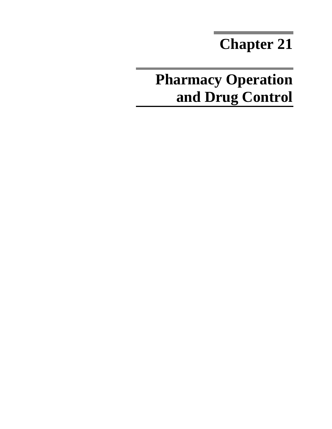# **Chapter 21**

# **Pharmacy Operation and Drug Control**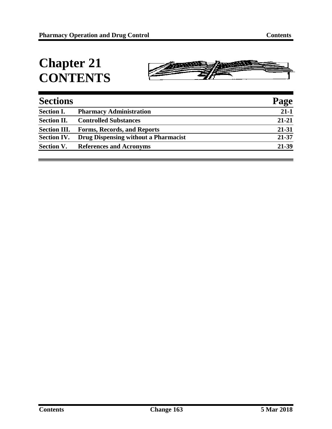## **Chapter 21 CONTENTS**



| <b>Sections</b>                             |           |
|---------------------------------------------|-----------|
| <b>Pharmacy Administration</b>              | $21 - 1$  |
| <b>Controlled Substances</b>                | $21 - 21$ |
| <b>Forms, Records, and Reports</b>          | 21-31     |
| <b>Drug Dispensing without a Pharmacist</b> | 21-37     |
| <b>References and Acronyms</b>              | 21-39     |
|                                             |           |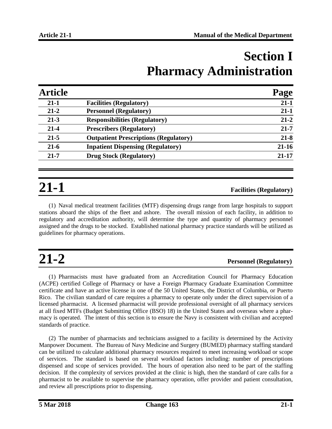## **Section I Pharmacy Administration**

|                                              | Page      |
|----------------------------------------------|-----------|
| <b>Facilities (Regulatory)</b>               | $21 - 1$  |
| <b>Personnel (Regulatory)</b>                | $21 - 1$  |
| <b>Responsibilities (Regulatory)</b>         | $21-2$    |
| <b>Prescribers (Regulatory)</b>              | $21 - 7$  |
| <b>Outpatient Prescriptions (Regulatory)</b> | $21 - 8$  |
| <b>Inpatient Dispensing (Regulatory)</b>     | $21 - 16$ |
| <b>Drug Stock (Regulatory)</b>               | 21-17     |
|                                              |           |

**21-1 Facilities (Regulatory)**

(1) Naval medical treatment facilities (MTF) dispensing drugs range from large hospitals to support stations aboard the ships of the fleet and ashore. The overall mission of each facility, in addition to regulatory and accreditation authority, will determine the type and quantity of pharmacy personnel assigned and the drugs to be stocked. Established national pharmacy practice standards will be utilized as guidelines for pharmacy operations.

### **21-2** Personnel (Regulatory)

(1) Pharmacists must have graduated from an Accreditation Council for Pharmacy Education (ACPE) certified College of Pharmacy or have a Foreign Pharmacy Graduate Examination Committee certificate and have an active license in one of the 50 United States, the District of Columbia, or Puerto Rico. The civilian standard of care requires a pharmacy to operate only under the direct supervision of a licensed pharmacist. A licensed pharmacist will provide professional oversight of all pharmacy services at all fixed MTFs (Budget Submitting Office (BSO) 18) in the United States and overseas where a pharmacy is operated. The intent of this section is to ensure the Navy is consistent with civilian and accepted standards of practice.

(2) The number of pharmacists and technicians assigned to a facility is determined by the Activity Manpower Document. The Bureau of Navy Medicine and Surgery (BUMED) pharmacy staffing standard can be utilized to calculate additional pharmacy resources required to meet increasing workload or scope of services. The standard is based on several workload factors including: number of prescriptions dispensed and scope of services provided. The hours of operation also need to be part of the staffing decision. If the complexity of services provided at the clinic is high, then the standard of care calls for a pharmacist to be available to supervise the pharmacy operation, offer provider and patient consultation, and review all prescriptions prior to dispensing.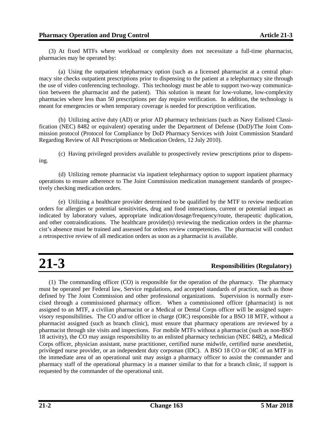(3) At fixed MTFs where workload or complexity does not necessitate a full-time pharmacist, pharmacies may be operated by:

(a) Using the outpatient telepharmacy option (such as a licensed pharmacist at a central pharmacy site checks outpatient prescriptions prior to dispensing to the patient at a telepharmacy site through the use of video conferencing technology. This technology must be able to support two-way communication between the pharmacist and the patient). This solution is meant for low-volume, low-complexity pharmacies where less than 50 prescriptions per day require verification. In addition, the technology is meant for emergencies or when temporary coverage is needed for prescription verification.

(b) Utilizing active duty (AD) or prior AD pharmacy technicians (such as Navy Enlisted Classification (NEC) 8482 or equivalent) operating under the Department of Defense (DoD)/The Joint Commission protocol (Protocol for Compliance by DoD Pharmacy Services with Joint Commission Standard Regarding Review of All Prescriptions or Medication Orders, 12 July 2010).

(c) Having privileged providers available to prospectively review prescriptions prior to dispensing.

(d) Utilizing remote pharmacist via inpatient telepharmacy option to support inpatient pharmacy operations to ensure adherence to The Joint Commission medication management standards of prospectively checking medication orders.

(e) Utilizing a healthcare provider determined to be qualified by the MTF to review medication orders for allergies or potential sensitivities, drug and food interactions, current or potential impact as indicated by laboratory values, appropriate indication/dosage/frequency/route, therapeutic duplication, and other contraindications. The healthcare provider(s) reviewing the medication orders in the pharmacist's absence must be trained and assessed for orders review competencies. The pharmacist will conduct a retrospective review of all medication orders as soon as a pharmacist is available.

### **21-3 Responsibilities (Regulatory)**

(1) The commanding officer (CO) is responsible for the operation of the pharmacy. The pharmacy must be operated per Federal law, Service regulations, and accepted standards of practice, such as those defined by The Joint Commission and other professional organizations. Supervision is normally exercised through a commissioned pharmacy officer. When a commissioned officer (pharmacist) is not assigned to an MTF, a civilian pharmacist or a Medical or Dental Corps officer will be assigned supervisory responsibilities. The CO and/or officer in charge (OIC) responsible for a BSO 18 MTF, without a pharmacist assigned (such as branch clinic), must ensure that pharmacy operations are reviewed by a pharmacist through site visits and inspections. For mobile MTFs without a pharmacist (such as non-BSO 18 activity), the CO may assign responsibility to an enlisted pharmacy technician (NEC 8482), a Medical Corps officer, physician assistant, nurse practitioner, certified nurse midwife, certified nurse anesthetist, privileged nurse provider, or an independent duty corpsman (IDC). A BSO 18 CO or OIC of an MTF in the immediate area of an operational unit may assign a pharmacy officer to assist the commander and pharmacy staff of the operational pharmacy in a manner similar to that for a branch clinic, if support is requested by the commander of the operational unit.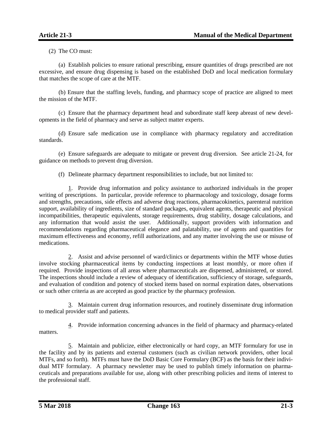(2) The CO must:

(a) Establish policies to ensure rational prescribing, ensure quantities of drugs prescribed are not excessive, and ensure drug dispensing is based on the established DoD and local medication formulary that matches the scope of care at the MTF.

(b) Ensure that the staffing levels, funding, and pharmacy scope of practice are aligned to meet the mission of the MTF.

(c) Ensure that the pharmacy department head and subordinate staff keep abreast of new developments in the field of pharmacy and serve as subject matter experts.

(d) Ensure safe medication use in compliance with pharmacy regulatory and accreditation standards.

(e) Ensure safeguards are adequate to mitigate or prevent drug diversion. See article 21-24, for guidance on methods to prevent drug diversion.

(f) Delineate pharmacy department responsibilities to include, but not limited to:

1. Provide drug information and policy assistance to authorized individuals in the proper writing of prescriptions. In particular, provide reference to pharmacology and toxicology, dosage forms and strengths, precautions, side effects and adverse drug reactions, pharmacokinetics, parenteral nutrition support, availability of ingredients, size of standard packages, equivalent agents, therapeutic and physical incompatibilities, therapeutic equivalents, storage requirements, drug stability, dosage calculations, and any information that would assist the user. Additionally, support providers with information and recommendations regarding pharmaceutical elegance and palatability, use of agents and quantities for maximum effectiveness and economy, refill authorizations, and any matter involving the use or misuse of medications.

2. Assist and advise personnel of ward/clinics or departments within the MTF whose duties involve stocking pharmaceutical items by conducting inspections at least monthly, or more often if required. Provide inspections of all areas where pharmaceuticals are dispensed, administered, or stored. The inspections should include a review of adequacy of identification, sufficiency of storage, safeguards, and evaluation of condition and potency of stocked items based on normal expiration dates, observations or such other criteria as are accepted as good practice by the pharmacy profession.

3. Maintain current drug information resources, and routinely disseminate drug information to medical provider staff and patients.

4. Provide information concerning advances in the field of pharmacy and pharmacy-related matters.

5. Maintain and publicize, either electronically or hard copy, an MTF formulary for use in the facility and by its patients and external customers (such as civilian network providers, other local MTFs, and so forth). MTFs must have the DoD Basic Core Formulary (BCF) as the basis for their individual MTF formulary. A pharmacy newsletter may be used to publish timely information on pharmaceuticals and preparations available for use, along with other prescribing policies and items of interest to the professional staff.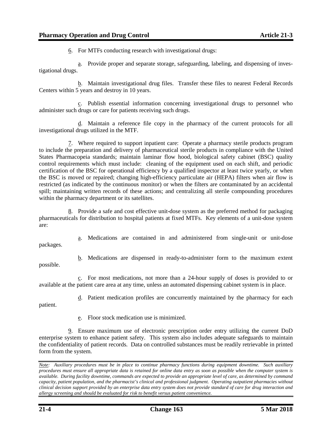6. For MTFs conducting research with investigational drugs:

a. Provide proper and separate storage, safeguarding, labeling, and dispensing of investigational drugs.

b. Maintain investigational drug files. Transfer these files to nearest Federal Records Centers within 5 years and destroy in 10 years.

c. Publish essential information concerning investigational drugs to personnel who administer such drugs or care for patients receiving such drugs.

d. Maintain a reference file copy in the pharmacy of the current protocols for all investigational drugs utilized in the MTF.

7. Where required to support inpatient care: Operate a pharmacy sterile products program to include the preparation and delivery of pharmaceutical sterile products in compliance with the United States Pharmacopeia standards; maintain laminar flow hood, biological safety cabinet (BSC) quality control requirements which must include: cleaning of the equipment used on each shift, and periodic certification of the BSC for operational efficiency by a qualified inspector at least twice yearly, or when the BSC is moved or repaired; changing high-efficiency particulate air (HEPA) filters when air flow is restricted (as indicated by the continuous monitor) or when the filters are contaminated by an accidental spill; maintaining written records of these actions; and centralizing all sterile compounding procedures within the pharmacy department or its satellites.

8. Provide a safe and cost effective unit-dose system as the preferred method for packaging pharmaceuticals for distribution to hospital patients at fixed MTFs. Key elements of a unit-dose system are:

a. Medications are contained in and administered from single-unit or unit-dose packages.

b. Medications are dispensed in ready-to-administer form to the maximum extent possible.

c. For most medications, not more than a 24-hour supply of doses is provided to or available at the patient care area at any time, unless an automated dispensing cabinet system is in place.

d. Patient medication profiles are concurrently maintained by the pharmacy for each

patient.

e. Floor stock medication use is minimized.

9. Ensure maximum use of electronic prescription order entry utilizing the current DoD enterprise system to enhance patient safety. This system also includes adequate safeguards to maintain the confidentiality of patient records. Data on controlled substances must be readily retrievable in printed form from the system.

*Note: Auxiliary procedures must be in place to continue pharmacy functions during equipment downtime. Such auxiliary procedures must ensure all appropriate data is retained for online data entry as soon as possible when the computer system is available. During facility downtime, commands are expected to provide an appropriate level of care, as determined by command capacity, patient population, and the pharmacist's clinical and professional judgment. Operating outpatient pharmacies without clinical decision support provided by an enterprise data entry system does not provide standard of care for drug interaction and allergy screening and should be evaluated for risk to benefit versus patient convenience.*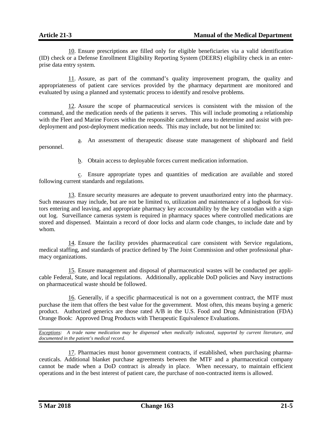10. Ensure prescriptions are filled only for eligible beneficiaries via a valid identification (ID) check or a Defense Enrollment Eligibility Reporting System (DEERS) eligibility check in an enterprise data entry system.

11. Assure, as part of the command's quality improvement program, the quality and appropriateness of patient care services provided by the pharmacy department are monitored and evaluated by using a planned and systematic process to identify and resolve problems.

12. Assure the scope of pharmaceutical services is consistent with the mission of the command, and the medication needs of the patients it serves. This will include promoting a relationship with the Fleet and Marine Forces within the responsible catchment area to determine and assist with predeployment and post-deployment medication needs. This may include, but not be limited to:

a. An assessment of therapeutic disease state management of shipboard and field personnel.

b. Obtain access to deployable forces current medication information.

c. Ensure appropriate types and quantities of medication are available and stored following current standards and regulations.

13. Ensure security measures are adequate to prevent unauthorized entry into the pharmacy. Such measures may include, but are not be limited to, utilization and maintenance of a logbook for visitors entering and leaving, and appropriate pharmacy key accountability by the key custodian with a sign out log. Surveillance cameras system is required in pharmacy spaces where controlled medications are stored and dispensed. Maintain a record of door locks and alarm code changes, to include date and by whom.

14. Ensure the facility provides pharmaceutical care consistent with Service regulations, medical staffing, and standards of practice defined by The Joint Commission and other professional pharmacy organizations.

15. Ensure management and disposal of pharmaceutical wastes will be conducted per applicable Federal, State, and local regulations. Additionally, applicable DoD policies and Navy instructions on pharmaceutical waste should be followed.

16. Generally, if a specific pharmaceutical is not on a government contract, the MTF must purchase the item that offers the best value for the government. Most often, this means buying a generic product. Authorized generics are those rated A/B in the U.S. Food and Drug Administration (FDA) Orange Book: Approved Drug Products with Therapeutic Equivalence Evaluations.

*Exceptions: A trade name medication may be dispensed when medically indicated, supported by current literature, and documented in the patient's medical record.*

17. Pharmacies must honor government contracts, if established, when purchasing pharmaceuticals. Additional blanket purchase agreements between the MTF and a pharmaceutical company cannot be made when a DoD contract is already in place. When necessary, to maintain efficient operations and in the best interest of patient care, the purchase of non-contracted items is allowed.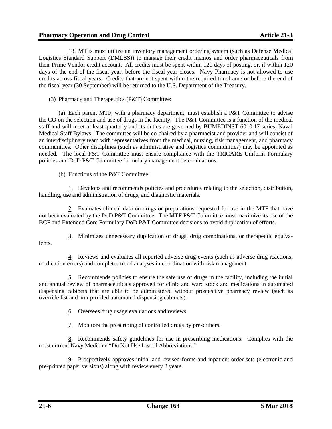18. MTFs must utilize an inventory management ordering system (such as Defense Medical Logistics Standard Support (DMLSS)) to manage their credit memos and order pharmaceuticals from their Prime Vendor credit account. All credits must be spent within 120 days of posting, or, if within 120 days of the end of the fiscal year, before the fiscal year closes. Navy Pharmacy is not allowed to use credits across fiscal years. Credits that are not spent within the required timeframe or before the end of the fiscal year (30 September) will be returned to the U.S. Department of the Treasury.

(3) Pharmacy and Therapeutics (P&T) Committee:

(a) Each parent MTF, with a pharmacy department, must establish a P&T Committee to advise the CO on the selection and use of drugs in the facility. The P&T Committee is a function of the medical staff and will meet at least quarterly and its duties are governed by BUMEDINST 6010.17 series, Naval Medical Staff Bylaws. The committee will be co-chaired by a pharmacist and provider and will consist of an interdisciplinary team with representatives from the medical, nursing, risk management, and pharmacy communities. Other disciplines (such as administrative and logistics communities) may be appointed as needed. The local P&T Committee must ensure compliance with the TRICARE Uniform Formulary policies and DoD P&T Committee formulary management determinations.

(b) Functions of the P&T Committee:

1. Develops and recommends policies and procedures relating to the selection, distribution, handling, use and administration of drugs, and diagnostic materials.

2. Evaluates clinical data on drugs or preparations requested for use in the MTF that have not been evaluated by the DoD P&T Committee. The MTF P&T Committee must maximize its use of the BCF and Extended Core Formulary DoD P&T Committee decisions to avoid duplication of efforts.

3. Minimizes unnecessary duplication of drugs, drug combinations, or therapeutic equivalents.

4. Reviews and evaluates all reported adverse drug events (such as adverse drug reactions, medication errors) and completes trend analyses in coordination with risk management.

5. Recommends policies to ensure the safe use of drugs in the facility, including the initial and annual review of pharmaceuticals approved for clinic and ward stock and medications in automated dispensing cabinets that are able to be administered without prospective pharmacy review (such as override list and non-profiled automated dispensing cabinets).

6. Oversees drug usage evaluations and reviews.

7. Monitors the prescribing of controlled drugs by prescribers.

8. Recommends safety guidelines for use in prescribing medications. Complies with the most current Navy Medicine "Do Not Use List of Abbreviations."

9. Prospectively approves initial and revised forms and inpatient order sets (electronic and pre-printed paper versions) along with review every 2 years.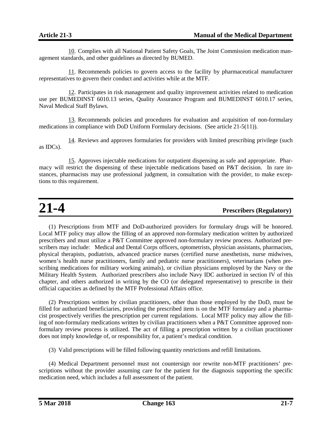10. Complies with all National Patient Safety Goals, The Joint Commission medication management standards, and other guidelines as directed by BUMED.

11. Recommends policies to govern access to the facility by pharmaceutical manufacturer representatives to govern their conduct and activities while at the MTF.

12. Participates in risk management and quality improvement activities related to medication use per BUMEDINST 6010.13 series, Quality Assurance Program and BUMEDINST 6010.17 series, Naval Medical Staff Bylaws.

13. Recommends policies and procedures for evaluation and acquisition of non-formulary medications in compliance with DoD Uniform Formulary decisions. (See article 21-5(11)).

14. Reviews and approves formularies for providers with limited prescribing privilege (such as IDCs).

15. Approves injectable medications for outpatient dispensing as safe and appropriate. Pharmacy will restrict the dispensing of these injectable medications based on P&T decision. In rare instances, pharmacists may use professional judgment, in consultation with the provider, to make exceptions to this requirement.

### **21-4 Prescribers (Regulatory)**

(1) Prescriptions from MTF and DoD-authorized providers for formulary drugs will be honored. Local MTF policy may allow the filling of an approved non-formulary medication written by authorized prescribers and must utilize a P&T Committee approved non-formulary review process. Authorized prescribers may include: Medical and Dental Corps officers, optometrists, physician assistants, pharmacists, physical therapists, podiatrists, advanced practice nurses (certified nurse anesthetists, nurse midwives, women's health nurse practitioners, family and pediatric nurse practitioners), veterinarians (when prescribing medications for military working animals), or civilian physicians employed by the Navy or the Military Health System. Authorized prescribers also include Navy IDC authorized in section IV of this chapter, and others authorized in writing by the CO (or delegated representative) to prescribe in their official capacities as defined by the MTF Professional Affairs office.

(2) Prescriptions written by civilian practitioners, other than those employed by the DoD, must be filled for authorized beneficiaries, providing the prescribed item is on the MTF formulary and a pharmacist prospectively verifies the prescription per current regulations. Local MTF policy may allow the filling of non-formulary medications written by civilian practitioners when a P&T Committee approved nonformulary review process is utilized. The act of filling a prescription written by a civilian practitioner does not imply knowledge of, or responsibility for, a patient's medical condition.

(3) Valid prescriptions will be filled following quantity restrictions and refill limitations.

(4) Medical Department personnel must not countersign nor rewrite non-MTF practitioners' prescriptions without the provider assuming care for the patient for the diagnosis supporting the specific medication need, which includes a full assessment of the patient.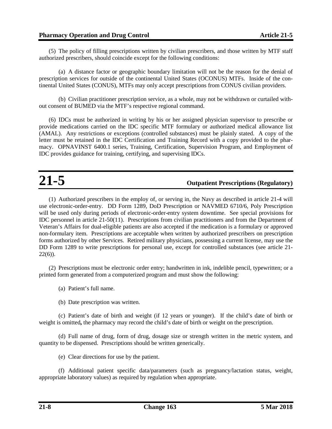(5) The policy of filling prescriptions written by civilian prescribers, and those written by MTF staff authorized prescribers, should coincide except for the following conditions:

(a) A distance factor or geographic boundary limitation will not be the reason for the denial of prescription services for outside of the continental United States (OCONUS) MTFs. Inside of the continental United States (CONUS), MTFs may only accept prescriptions from CONUS civilian providers.

(b) Civilian practitioner prescription service, as a whole, may not be withdrawn or curtailed without consent of BUMED via the MTF's respective regional command.

(6) IDCs must be authorized in writing by his or her assigned physician supervisor to prescribe or provide medications carried on the IDC specific MTF formulary or authorized medical allowance list (AMAL). Any restrictions or exceptions (controlled substances) must be plainly stated. A copy of the letter must be retained in the IDC Certification and Training Record with a copy provided to the pharmacy. OPNAVINST 6400.1 series, Training, Certification, Supervision Program, and Employment of IDC provides guidance for training, certifying, and supervising IDCs.

### **21-5 Outpatient Prescriptions (Regulatory)**

(1) Authorized prescribers in the employ of, or serving in, the Navy as described in article 21-4 will use electronic-order-entry. DD Form 1289, DoD Prescription or NAVMED 6710/6, Poly Prescription will be used only during periods of electronic-order-entry system downtime. See special provisions for IDC personnel in article 21-50(11). Prescriptions from civilian practitioners and from the Department of Veteran's Affairs for dual-eligible patients are also accepted if the medication is a formulary or approved non-formulary item. Prescriptions are acceptable when written by authorized prescribers on prescription forms authorized by other Services. Retired military physicians, possessing a current license, may use the DD Form 1289 to write prescriptions for personal use, except for controlled substances (see article 21-  $22(6)$ ).

(2) Prescriptions must be electronic order entry; handwritten in ink, indelible pencil, typewritten; or a printed form generated from a computerized program and must show the following:

(a) Patient's full name.

(b) Date prescription was written.

(c) Patient's date of birth and weight (if 12 years or younger). If the child's date of birth or weight is omitted**,** the pharmacy may record the child's date of birth or weight on the prescription.

(d) Full name of drug, form of drug, dosage size or strength written in the metric system, and quantity to be dispensed. Prescriptions should be written generically.

(e) Clear directions for use by the patient.

(f) Additional patient specific data/parameters (such as pregnancy/lactation status, weight, appropriate laboratory values) as required by regulation when appropriate.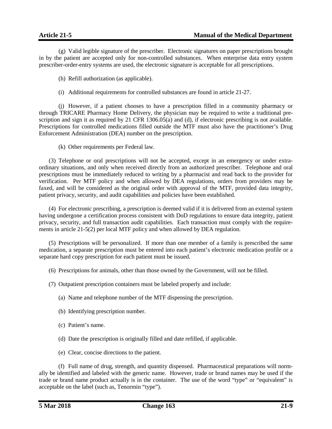(g) Valid legible signature of the prescriber. Electronic signatures on paper prescriptions brought in by the patient are accepted only for non-controlled substances. When enterprise data entry system prescriber-order-entry systems are used, the electronic signature is acceptable for all prescriptions.

(h) Refill authorization (as applicable).

(i) Additional requirements for controlled substances are found in article 21-27.

(j) However, if a patient chooses to have a prescription filled in a community pharmacy or through TRICARE Pharmacy Home Delivery, the physician may be required to write a traditional prescription and sign it as required by 21 CFR 1306.05(a) and (d), if electronic prescribing is not available. Prescriptions for controlled medications filled outside the MTF must also have the practitioner's Drug Enforcement Administration (DEA) number on the prescription.

(k) Other requirements per Federal law.

(3) Telephone or oral prescriptions will not be accepted, except in an emergency or under extraordinary situations, and only when received directly from an authorized prescriber. Telephone and oral prescriptions must be immediately reduced to writing by a pharmacist and read back to the provider for verification. Per MTF policy and when allowed by DEA regulations, orders from providers may be faxed, and will be considered as the original order with approval of the MTF, provided data integrity, patient privacy, security, and audit capabilities and policies have been established.

(4) For electronic prescribing, a prescription is deemed valid if it is delivered from an external system having undergone a certification process consistent with DoD regulations to ensure data integrity, patient privacy, security, and full transaction audit capabilities. Each transaction must comply with the requirements in article 21-5(2) per local MTF policy and when allowed by DEA regulation.

(5) Prescriptions will be personalized. If more than one member of a family is prescribed the same medication, a separate prescription must be entered into each patient's electronic medication profile or a separate hard copy prescription for each patient must be issued.

- (6) Prescriptions for animals, other than those owned by the Government, will not be filled.
- (7) Outpatient prescription containers must be labeled properly and include:
	- (a) Name and telephone number of the MTF dispensing the prescription.
	- (b) Identifying prescription number.
	- (c) Patient's name.
	- (d) Date the prescription is originally filled and date refilled, if applicable.
	- (e) Clear, concise directions to the patient.

(f) Full name of drug, strength, and quantity dispensed. Pharmaceutical preparations will normally be identified and labeled with the generic name. However, trade or brand names may be used if the trade or brand name product actually is in the container. The use of the word "type" or "equivalent" is acceptable on the label (such as, Tenormin "type").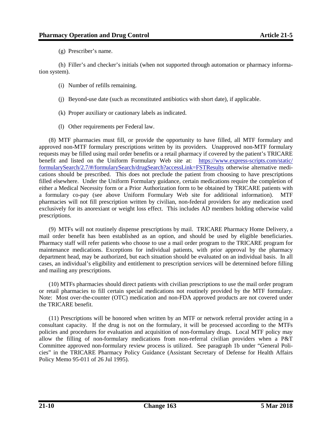(g) Prescriber's name.

(h) Filler's and checker's initials (when not supported through automation or pharmacy information system).

- (i) Number of refills remaining.
- (j) Beyond-use date (such as reconstituted antibiotics with short date), if applicable.
- (k) Proper auxiliary or cautionary labels as indicated.
- (l) Other requirements per Federal law.

(8) MTF pharmacies must fill, or provide the opportunity to have filled, all MTF formulary and approved non-MTF formulary prescriptions written by its providers. Unapproved non-MTF formulary requests may be filled using mail order benefits or a retail pharmacy if covered by the patient's TRICARE benefit and listed on the Uniform Formulary Web site at: [https://www.express-scripts.com/static/](https://www.express-scripts.com/static/%20formularySearch/2.7/#/formularySearch/drugSearch?accessLink=FSTResults)  [formularySearch/2.7/#/formularySearch/drugSearch?accessLink=FSTResults](https://www.express-scripts.com/static/%20formularySearch/2.7/#/formularySearch/drugSearch?accessLink=FSTResults) otherwise alternative medications should be prescribed. This does not preclude the patient from choosing to have prescriptions filled elsewhere. Under the Uniform Formulary guidance, certain medications require the completion of either a Medical Necessity form or a Prior Authorization form to be obtained by TRICARE patients with a formulary co-pay (see above Uniform Formulary Web site for additional information). MTF pharmacies will not fill prescription written by civilian, non-federal providers for any medication used exclusively for its anorexiant or weight loss effect. This includes AD members holding otherwise valid prescriptions.

(9) MTFs will not routinely dispense prescriptions by mail. TRICARE Pharmacy Home Delivery, a mail order benefit has been established as an option, and should be used by eligible beneficiaries. Pharmacy staff will refer patients who choose to use a mail order program to the TRICARE program for maintenance medications. Exceptions for individual patients, with prior approval by the pharmacy department head, may be authorized, but each situation should be evaluated on an individual basis. In all cases, an individual's eligibility and entitlement to prescription services will be determined before filling and mailing any prescriptions.

(10) MTFs pharmacies should direct patients with civilian prescriptions to use the mail order program or retail pharmacies to fill certain special medications not routinely provided by the MTF formulary. Note: Most over-the-counter (OTC) medication and non-FDA approved products are not covered under the TRICARE benefit.

(11) Prescriptions will be honored when written by an MTF or network referral provider acting in a consultant capacity. If the drug is not on the formulary, it will be processed according to the MTFs policies and procedures for evaluation and acquisition of non-formulary drugs. Local MTF policy may allow the filling of non-formulary medications from non-referral civilian providers when a P&T Committee approved non-formulary review process is utilized. See paragraph 1b under "General Policies" in the TRICARE Pharmacy Policy Guidance (Assistant Secretary of Defense for Health Affairs Policy Memo 95-011 of 26 Jul 1995).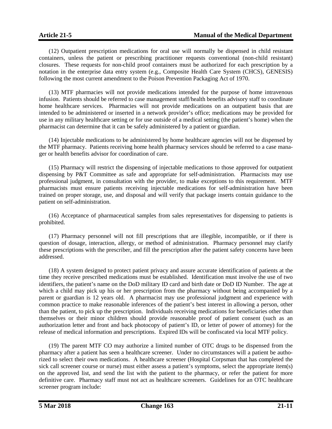(12) Outpatient prescription medications for oral use will normally be dispensed in child resistant containers, unless the patient or prescribing practitioner requests conventional (non-child resistant) closures. These requests for non-child proof containers must be authorized for each prescription by a notation in the enterprise data entry system (e.g., Composite Health Care System (CHCS), GENESIS) following the most current amendment to the Poison Prevention Packaging Act of 1970.

(13) MTF pharmacies will not provide medications intended for the purpose of home intravenous infusion. Patients should be referred to case management staff/health benefits advisory staff to coordinate home healthcare services. Pharmacies will not provide medications on an outpatient basis that are intended to be administered or inserted in a network provider's office; medications may be provided for use in any military healthcare setting or for use outside of a medical setting (the patient's home) when the pharmacist can determine that it can be safely administered by a patient or guardian.

(14) Injectable medications to be administered by home healthcare agencies will not be dispensed by the MTF pharmacy. Patients receiving home health pharmacy services should be referred to a case manager or health benefits advisor for coordination of care.

(15) Pharmacy will restrict the dispensing of injectable medications to those approved for outpatient dispensing by P&T Committee as safe and appropriate for self-administration. Pharmacists may use professional judgment, in consultation with the provider, to make exceptions to this requirement. MTF pharmacists must ensure patients receiving injectable medications for self-administration have been trained on proper storage, use, and disposal and will verify that package inserts contain guidance to the patient on self-administration.

(16) Acceptance of pharmaceutical samples from sales representatives for dispensing to patients is prohibited.

(17) Pharmacy personnel will not fill prescriptions that are illegible, incompatible, or if there is question of dosage, interaction, allergy, or method of administration. Pharmacy personnel may clarify these prescriptions with the prescriber, and fill the prescription after the patient safety concerns have been addressed.

(18) A system designed to protect patient privacy and assure accurate identification of patients at the time they receive prescribed medications must be established. Identification must involve the use of two identifiers, the patient's name on the DoD military ID card and birth date or DoD ID Number. The age at which a child may pick up his or her prescription from the pharmacy without being accompanied by a parent or guardian is 12 years old. A pharmacist may use professional judgment and experience with common practice to make reasonable inferences of the patient's best interest in allowing a person, other than the patient, to pick up the prescription. Individuals receiving medications for beneficiaries other than themselves or their minor children should provide reasonable proof of patient consent (such as an authorization letter and front and back photocopy of patient's ID, or letter of power of attorney) for the release of medical information and prescriptions. Expired IDs will be confiscated via local MTF policy.

(19) The parent MTF CO may authorize a limited number of OTC drugs to be dispensed from the pharmacy after a patient has seen a healthcare screener. Under no circumstances will a patient be authorized to select their own medications. A healthcare screener (Hospital Corpsman that has completed the sick call screener course or nurse) must either assess a patient's symptoms, select the appropriate item(s) on the approved list, and send the list with the patient to the pharmacy, or refer the patient for more definitive care. Pharmacy staff must not act as healthcare screeners. Guidelines for an OTC healthcare screener program include: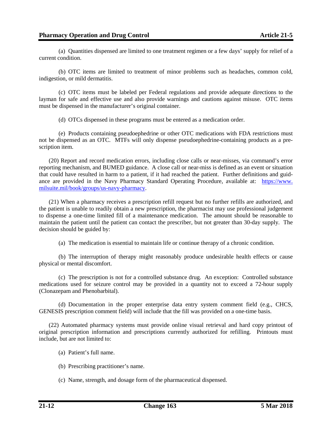(a) Quantities dispensed are limited to one treatment regimen or a few days' supply for relief of a current condition.

(b) OTC items are limited to treatment of minor problems such as headaches, common cold, indigestion, or mild dermatitis.

(c) OTC items must be labeled per Federal regulations and provide adequate directions to the layman for safe and effective use and also provide warnings and cautions against misuse. OTC items must be dispensed in the manufacturer's original container.

(d) OTCs dispensed in these programs must be entered as a medication order.

(e) Products containing pseudoephedrine or other OTC medications with FDA restrictions must not be dispensed as an OTC. MTFs will only dispense pseudoephedrine-containing products as a prescription item.

(20) Report and record medication errors, including close calls or near-misses, via command's error reporting mechanism, and BUMED guidance. A close call or near-miss is defined as an event or situation that could have resulted in harm to a patient, if it had reached the patient. Further definitions and guidance are provided in the Navy Pharmacy Standard Operating Procedure, available at: https://www. milsuite.mil/book/groups/us-navy-pharmacy.

(21) When a pharmacy receives a prescription refill request but no further refills are authorized, and the patient is unable to readily obtain a new prescription, the pharmacist may use professional judgement to dispense a one-time limited fill of a maintenance medication. The amount should be reasonable to maintain the patient until the patient can contact the prescriber, but not greater than 30-day supply. The decision should be guided by:

(a) The medication is essential to maintain life or continue therapy of a chronic condition.

(b) The interruption of therapy might reasonably produce undesirable health effects or cause physical or mental discomfort.

(c) The prescription is not for a controlled substance drug. An exception: Controlled substance medications used for seizure control may be provided in a quantity not to exceed a 72-hour supply (Clonazepam and Phenobarbital).

(d) Documentation in the proper enterprise data entry system comment field (e.g., CHCS, GENESIS prescription comment field) will include that the fill was provided on a one-time basis.

(22) Automated pharmacy systems must provide online visual retrieval and hard copy printout of original prescription information and prescriptions currently authorized for refilling. Printouts must include, but are not limited to:

- (a) Patient's full name.
- (b) Prescribing practitioner's name.
- (c) Name, strength, and dosage form of the pharmaceutical dispensed.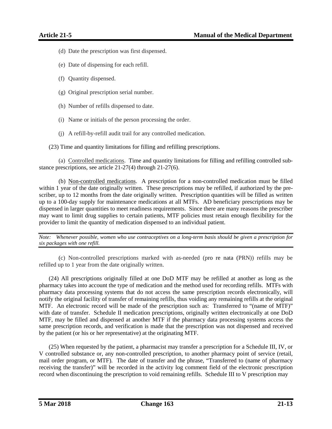- (d) Date the prescription was first dispensed.
- (e) Date of dispensing for each refill.
- (f) Quantity dispensed.
- (g) Original prescription serial number.
- (h) Number of refills dispensed to date.
- (i) Name or initials of the person processing the order.
- (j) A refill-by-refill audit trail for any controlled medication.

(23) Time and quantity limitations for filling and refilling prescriptions.

(a) Controlled medications. Time and quantity limitations for filling and refilling controlled substance prescriptions, see article 21-27(4) through 21-27(6).

(b) Non-controlled medications. A prescription for a non-controlled medication must be filled within 1 year of the date originally written. These prescriptions may be refilled, if authorized by the prescriber, up to 12 months from the date originally written. Prescription quantities will be filled as written up to a 100-day supply for maintenance medications at all MTFs. AD beneficiary prescriptions may be dispensed in larger quantities to meet readiness requirements. Since there are many reasons the prescriber may want to limit drug supplies to certain patients, MTF policies must retain enough flexibility for the provider to limit the quantity of medication dispensed to an individual patient.

*Note: Whenever possible, women who use contraceptives on a long-term basis should be given a prescription for six packages with one refill.* 

(c) Non-controlled prescriptions marked with as-needed (pro re nata (PRN)) refills may be refilled up to 1 year from the date originally written.

(24) All prescriptions originally filled at one DoD MTF may be refilled at another as long as the pharmacy takes into account the type of medication and the method used for recording refills. MTFs with pharmacy data processing systems that do not access the same prescription records electronically, will notify the original facility of transfer of remaining refills, thus voiding any remaining refills at the original MTF. An electronic record will be made of the prescription such as: Transferred to "(name of MTF)" with date of transfer. Schedule II medication prescriptions, originally written electronically at one DoD MTF, may be filled and dispensed at another MTF if the pharmacy data processing systems access the same prescription records, and verification is made that the prescription was not dispensed and received by the patient (or his or her representative) at the originating MTF.

(25) When requested by the patient, a pharmacist may transfer a prescription for a Schedule III, IV, or V controlled substance or, any non-controlled prescription, to another pharmacy point of service (retail, mail order program, or MTF). The date of transfer and the phrase, "Transferred to (name of pharmacy receiving the transfer)" will be recorded in the activity log comment field of the electronic prescription record when discontinuing the prescription to void remaining refills. Schedule III to V prescription may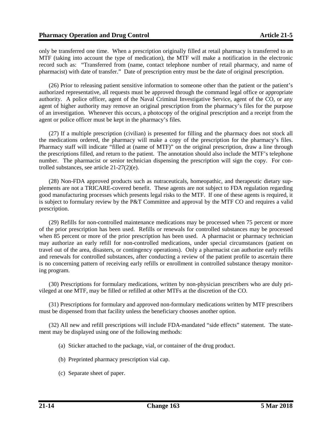only be transferred one time. When a prescription originally filled at retail pharmacy is transferred to an MTF (taking into account the type of medication), the MTF will make a notification in the electronic record such as: "Transferred from (name, contact telephone number of retail pharmacy, and name of pharmacist) with date of transfer." Date of prescription entry must be the date of original prescription.

(26) Prior to releasing patient sensitive information to someone other than the patient or the patient's authorized representative, all requests must be approved through the command legal office or appropriate authority. A police officer, agent of the Naval Criminal Investigative Service, agent of the CO, or any agent of higher authority may remove an original prescription from the pharmacy's files for the purpose of an investigation. Whenever this occurs, a photocopy of the original prescription and a receipt from the agent or police officer must be kept in the pharmacy's files.

(27) If a multiple prescription (civilian) is presented for filling and the pharmacy does not stock all the medications ordered, the pharmacy will make a copy of the prescription for the pharmacy's files. Pharmacy staff will indicate "filled at (name of MTF)" on the original prescription, draw a line through the prescriptions filled, and return to the patient. The annotation should also include the MTF's telephone number. The pharmacist or senior technician dispensing the prescription will sign the copy. For controlled substances, see article 21-27(2)(e).

(28) Non-FDA approved products such as nutraceuticals, homeopathic, and therapeutic dietary supplements are not a TRICARE-covered benefit. These agents are not subject to FDA regulation regarding good manufacturing processes which presents legal risks to the MTF. If one of these agents is required, it is subject to formulary review by the P&T Committee and approval by the MTF CO and requires a valid prescription.

(29) Refills for non-controlled maintenance medications may be processed when 75 percent or more of the prior prescription has been used. Refills or renewals for controlled substances may be processed when 85 percent or more of the prior prescription has been used. A pharmacist or pharmacy technician may authorize an early refill for non-controlled medications, under special circumstances (patient on travel out of the area, disasters, or contingency operations). Only a pharmacist can authorize early refills and renewals for controlled substances, after conducting a review of the patient profile to ascertain there is no concerning pattern of receiving early refills or enrollment in controlled substance therapy monitoring program.

(30) Prescriptions for formulary medications, written by non-physician prescribers who are duly privileged at one MTF, may be filled or refilled at other MTFs at the discretion of the CO.

(31) Prescriptions for formulary and approved non-formulary medications written by MTF prescribers must be dispensed from that facility unless the beneficiary chooses another option.

(32) All new and refill prescriptions will include FDA-mandated "side effects" statement. The statement may be displayed using one of the following methods:

- (a) Sticker attached to the package, vial, or container of the drug product.
- (b) Preprinted pharmacy prescription vial cap.
- (c) Separate sheet of paper.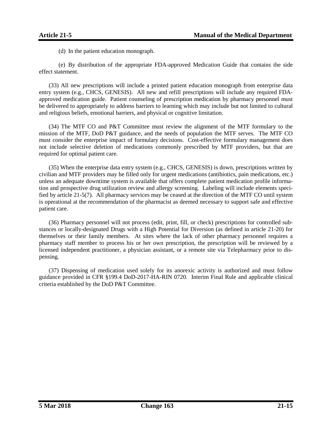(d) In the patient education monograph.

(e) By distribution of the appropriate FDA-approved Medication Guide that contains the side effect statement.

(33) All new prescriptions will include a printed patient education monograph from enterprise data entry system (e.g., CHCS, GENESIS). All new and refill prescriptions will include any required FDAapproved medication guide. Patient counseling of prescription medication by pharmacy personnel must be delivered to appropriately to address barriers to learning which may include but not limited to cultural and religious beliefs, emotional barriers, and physical or cognitive limitation.

(34) The MTF CO and P&T Committee must review the alignment of the MTF formulary to the mission of the MTF, DoD P&T guidance, and the needs of population the MTF serves. The MTF CO must consider the enterprise impact of formulary decisions. Cost-effective formulary management does not include selective deletion of medications commonly prescribed by MTF providers, but that are required for optimal patient care.

(35) When the enterprise data entry system (e.g., CHCS, GENESIS) is down, prescriptions written by civilian and MTF providers may be filled only for urgent medications (antibiotics, pain medications, etc.) unless an adequate downtime system is available that offers complete patient medication profile information and prospective drug utilization review and allergy screening. Labeling will include elements specified by article 21-5(7). All pharmacy services may be ceased at the direction of the MTF CO until system is operational at the recommendation of the pharmacist as deemed necessary to support safe and effective patient care.

(36) Pharmacy personnel will not process (edit, print, fill, or check) prescriptions for controlled substances or locally-designated Drugs with a High Potential for Diversion (as defined in article 21-20) for themselves or their family members. At sites where the lack of other pharmacy personnel requires a pharmacy staff member to process his or her own prescription, the prescription will be reviewed by a licensed independent practitioner, a physician assistant, or a remote site via Telepharmacy prior to dispensing.

(37) Dispensing of medication used solely for its anorexic activity is authorized and must follow guidance provided in CFR §199.4 DoD-2017-HA-RIN 0720. Interim Final Rule and applicable clinical criteria established by the DoD P&T Committee.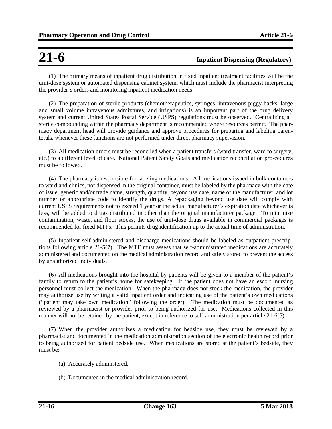### **21-6 Inpatient Dispensing (Regulatory)**

(1) The primary means of inpatient drug distribution in fixed inpatient treatment facilities will be the unit-dose system or automated dispensing cabinet system, which must include the pharmacist interpreting the provider's orders and monitoring inpatient medication needs.

(2) The preparation of sterile products (chemotherapeutics, syringes, intravenous piggy backs, large and small volume intravenous admixtures, and irrigations) is an important part of the drug delivery system and current United States Postal Service (USPS) regulations must be observed. Centralizing all sterile compounding within the pharmacy department is recommended where resources permit. The pharmacy department head will provide guidance and approve procedures for preparing and labeling parenterals, whenever these functions are not performed under direct pharmacy supervision.

(3) All medication orders must be reconciled when a patient transfers (ward transfer, ward to surgery, etc.) to a different level of care. National Patient Safety Goals and medication reconciliation pro-cedures must be followed.

(4) The pharmacy is responsible for labeling medications. All medications issued in bulk containers to ward and clinics, not dispensed in the original container, must be labeled by the pharmacy with the date of issue, generic and/or trade name, strength, quantity, beyond use date, name of the manufacturer, and lot number or appropriate code to identify the drugs. A repackaging beyond use date will comply with current USPS requirements not to exceed 1 year or the actual manufacturer's expiration date whichever is less, will be added to drugs distributed in other than the original manufacturer package. To minimize contamination, waste, and floor stocks, the use of unit-dose drugs available in commercial packages is recommended for fixed MTFs. This permits drug identification up to the actual time of administration.

(5) Inpatient self-administered and discharge medications should be labeled as outpatient prescriptions following article 21-5(7). The MTF must assess that self-administrated medications are accurately administered and documented on the medical administration record and safely stored to prevent the access by unauthorized individuals.

(6) All medications brought into the hospital by patients will be given to a member of the patient's family to return to the patient's home for safekeeping. If the patient does not have an escort, nursing personnel must collect the medication. When the pharmacy does not stock the medication, the provider may authorize use by writing a valid inpatient order and indicating use of the patient's own medications ("patient may take own medication" following the order). The medication must be documented as reviewed by a pharmacist or provider prior to being authorized for use. Medications collected in this manner will not be retained by the patient, except in reference to self-administration per article 21-6(5).

(7) When the provider authorizes a medication for bedside use, they must be reviewed by a pharmacist and documented in the medication administration section of the electronic health record prior to being authorized for patient bedside use. When medications are stored at the patient's bedside, they must be:

- (a) Accurately administered.
- (b) Documented in the medical administration record.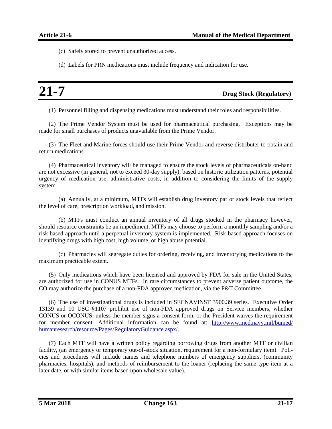- (c) Safely stored to prevent unauthorized access.
- (d) Labels for PRN medications must include frequency and indication for use.

# **21-7 Drug Stock (Regulatory)**

(1) Personnel filling and dispensing medications must understand their roles and responsibilities.

(2) The Prime Vendor System must be used for pharmaceutical purchasing. Exceptions may be made for small purchases of products unavailable from the Prime Vendor.

(3) The Fleet and Marine forces should use their Prime Vendor and reverse distributer to obtain and return medications.

(4) Pharmaceutical inventory will be managed to ensure the stock levels of pharmaceuticals on-hand are not excessive (in general, not to exceed 30-day supply), based on historic utilization patterns, potential urgency of medication use, administrative costs, in addition to considering the limits of the supply system.

(a) Annually, at a minimum, MTFs will establish drug inventory par or stock levels that reflect the level of care, prescription workload, and mission.

(b) MTFs must conduct an annual inventory of all drugs stocked in the pharmacy however, should resource constraints be an impediment, MTFs may choose to perform a monthly sampling and/or a risk based approach until a perpetual inventory system is implemented. Risk-based approach focuses on identifying drugs with high cost, high volume, or high abuse potential.

(c) Pharmacies will segregate duties for ordering, receiving, and inventorying medications to the maximum practicable extent.

(5) Only medications which have been licensed and approved by FDA for sale in the United States, are authorized for use in CONUS MTFs. In rare circumstances to prevent adverse patient outcome, the CO may authorize the purchase of a non-FDA approved medication, via the P&T Committee.

(6) The use of investigational drugs is included in SECNAVINST 3900.39 series. Executive Order 13139 and 10 USC §1107 prohibit use of non-FDA approved drugs on Service members, whether CONUS or OCONUS, unless the member signs a consent form, or the President waives the requirement for member consent. Additional information can be found at: [http://www.med.navy.mil/bumed/](http://www.med.navy.mil/bumed/%20humanresearch/resource/Pages/RegulatoryGuidance.aspx/)  [humanresearch/resource/Pages/RegulatoryGuidance.aspx/.](http://www.med.navy.mil/bumed/%20humanresearch/resource/Pages/RegulatoryGuidance.aspx/)

(7) Each MTF will have a written policy regarding borrowing drugs from another MTF or civilian facility, (an emergency or temporary out-of-stock situation, requirement for a non-formulary item). Policies and procedures will include names and telephone numbers of emergency suppliers, (community pharmacies, hospitals), and methods of reimbursement to the loaner (replacing the same type item at a later date, or with similar items based upon wholesale value).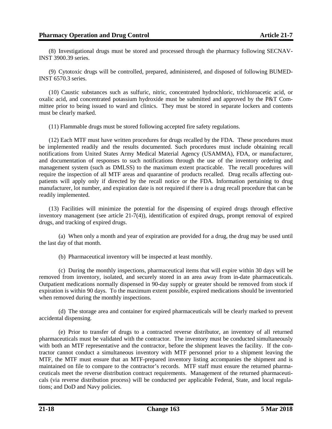(8) Investigational drugs must be stored and processed through the pharmacy following SECNAV-INST 3900.39 series.

(9) Cytotoxic drugs will be controlled, prepared, administered, and disposed of following BUMED-INST 6570.3 series.

(10) Caustic substances such as sulfuric, nitric, concentrated hydrochloric, trichloroacetic acid, or oxalic acid, and concentrated potassium hydroxide must be submitted and approved by the P&T Committee prior to being issued to ward and clinics. They must be stored in separate lockers and contents must be clearly marked.

(11) Flammable drugs must be stored following accepted fire safety regulations.

(12) Each MTF must have written procedures for drugs recalled by the FDA. These procedures must be implemented readily and the results documented. Such procedures must include obtaining recall notifications from United States Army Medical Material Agency (USAMMA), FDA, or manufacturer, and documentation of responses to such notifications through the use of the inventory ordering and management system (such as DMLSS) to the maximum extent practicable. The recall procedures will require the inspection of all MTF areas and quarantine of products recalled. Drug recalls affecting outpatients will apply only if directed by the recall notice or the FDA. Information pertaining to drug manufacturer, lot number, and expiration date is not required if there is a drug recall procedure that can be readily implemented.

(13) Facilities will minimize the potential for the dispensing of expired drugs through effective inventory management (see article 21-7(4)), identification of expired drugs, prompt removal of expired drugs, and tracking of expired drugs.

(a) When only a month and year of expiration are provided for a drug, the drug may be used until the last day of that month.

(b) Pharmaceutical inventory will be inspected at least monthly.

(c) During the monthly inspections, pharmaceutical items that will expire within 30 days will be removed from inventory, isolated, and securely stored in an area away from in-date pharmaceuticals. Outpatient medications normally dispensed in 90-day supply or greater should be removed from stock if expiration is within 90 days. To the maximum extent possible, expired medications should be inventoried when removed during the monthly inspections.

(d) The storage area and container for expired pharmaceuticals will be clearly marked to prevent accidental dispensing.

(e) Prior to transfer of drugs to a contracted reverse distributor, an inventory of all returned pharmaceuticals must be validated with the contractor. The inventory must be conducted simultaneously with both an MTF representative and the contractor, before the shipment leaves the facility. If the contractor cannot conduct a simultaneous inventory with MTF personnel prior to a shipment leaving the MTF, the MTF must ensure that an MTF-prepared inventory listing accompanies the shipment and is maintained on file to compare to the contractor's records. MTF staff must ensure the returned pharmaceuticals meet the reverse distribution contract requirements. Management of the returned pharmaceuticals (via reverse distribution process) will be conducted per applicable Federal, State, and local regulations; and DoD and Navy policies.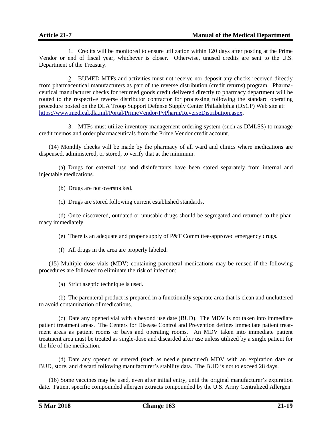1. Credits will be monitored to ensure utilization within 120 days after posting at the Prime Vendor or end of fiscal year, whichever is closer. Otherwise, unused credits are sent to the U.S. Department of the Treasury.

2. BUMED MTFs and activities must not receive nor deposit any checks received directly from pharmaceutical manufacturers as part of the reverse distribution (credit returns) program. Pharmaceutical manufacturer checks for returned goods credit delivered directly to pharmacy department will be routed to the respective reverse distributor contractor for processing following the standard operating procedure posted on the DLA Troop Support Defense Supply Center Philadelphia (DSCP) Web site at: [https://www.medical.dla.mil/Portal/PrimeVendor/PvPharm/ReverseDistribution.aspx.](https://www.medical.dla.mil/Portal/PrimeVendor/PvPharm/ReverseDistribution.aspx)

3. MTFs must utilize inventory management ordering system (such as DMLSS) to manage credit memos and order pharmaceuticals from the Prime Vendor credit account.

(14) Monthly checks will be made by the pharmacy of all ward and clinics where medications are dispensed, administered, or stored, to verify that at the minimum:

(a) Drugs for external use and disinfectants have been stored separately from internal and injectable medications.

(b) Drugs are not overstocked.

(c) Drugs are stored following current established standards.

(d) Once discovered, outdated or unusable drugs should be segregated and returned to the pharmacy immediately.

(e) There is an adequate and proper supply of P&T Committee-approved emergency drugs.

(f) All drugs in the area are properly labeled.

(15) Multiple dose vials (MDV) containing parenteral medications may be reused if the following procedures are followed to eliminate the risk of infection:

(a) Strict aseptic technique is used.

(b) The parenteral product is prepared in a functionally separate area that is clean and uncluttered to avoid contamination of medications.

(c) Date any opened vial with a beyond use date (BUD). The MDV is not taken into immediate patient treatment areas. The Centers for Disease Control and Prevention defines immediate patient treatment areas as patient rooms or bays and operating rooms. An MDV taken into immediate patient treatment area must be treated as single-dose and discarded after use unless utilized by a single patient for the life of the medication.

(d) Date any opened or entered (such as needle punctured) MDV with an expiration date or BUD, store, and discard following manufacturer's stability data. The BUD is not to exceed 28 days.

(16) Some vaccines may be used, even after initial entry, until the original manufacturer's expiration date. Patient specific compounded allergen extracts compounded by the U.S. Army Centralized Allergen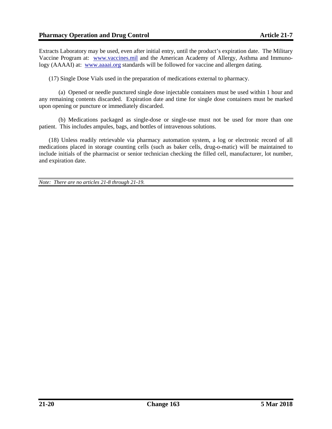Extracts Laboratory may be used, even after initial entry, until the product's expiration date. The Military Vaccine Program at: [www.vaccines.mil](http://www.vaccines.mil/) and the American Academy of Allergy, Asthma and Immunology (AAAAI) at: [www.aaaai.org](http://www.aaaai.org/) standards will be followed for vaccine and allergen dating.

(17) Single Dose Vials used in the preparation of medications external to pharmacy.

(a) Opened or needle punctured single dose injectable containers must be used within 1 hour and any remaining contents discarded. Expiration date and time for single dose containers must be marked upon opening or puncture or immediately discarded.

(b) Medications packaged as single-dose or single-use must not be used for more than one patient. This includes ampules, bags, and bottles of intravenous solutions.

(18) Unless readily retrievable via pharmacy automation system, a log or electronic record of all medications placed in storage counting cells (such as baker cells, drug-o-matic) will be maintained to include initials of the pharmacist or senior technician checking the filled cell, manufacturer, lot number, and expiration date.

*Note: There are no articles 21-8 through 21-19.*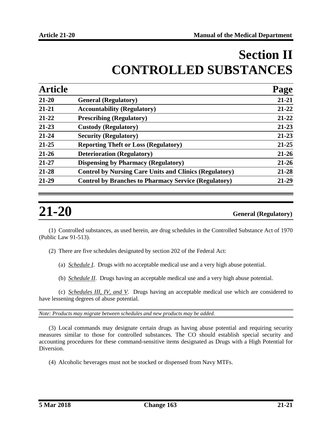## **Section II CONTROLLED SUBSTANCES**

| <b>Article</b> |                                                               | Page      |
|----------------|---------------------------------------------------------------|-----------|
| $21 - 20$      | <b>General (Regulatory)</b>                                   | $21 - 21$ |
| 21-21          | <b>Accountability (Regulatory)</b>                            | $21 - 22$ |
| 21-22          | <b>Prescribing (Regulatory)</b>                               | $21 - 22$ |
| 21-23          | <b>Custody (Regulatory)</b>                                   | $21 - 23$ |
| $21 - 24$      | <b>Security (Regulatory)</b>                                  | $21 - 23$ |
| 21-25          | <b>Reporting Theft or Loss (Regulatory)</b>                   | $21 - 25$ |
| $21 - 26$      | <b>Deterioration (Regulatory)</b>                             | $21 - 26$ |
| 21-27          | <b>Dispensing by Pharmacy (Regulatory)</b>                    | $21 - 26$ |
| 21-28          | <b>Control by Nursing Care Units and Clinics (Regulatory)</b> | $21 - 28$ |
| $21-29$        | <b>Control by Branches to Pharmacy Service (Regulatory)</b>   | $21 - 29$ |

## **21-20 General (Regulatory)**

(1) Controlled substances, as used herein, are drug schedules in the Controlled Substance Act of 1970 (Public Law 91-513).

(2) There are five schedules designated by section 202 of the Federal Act:

(a) *Schedule I*. Drugs with no acceptable medical use and a very high abuse potential.

(b) *Schedule II*. Drugs having an acceptable medical use and a very high abuse potential.

(c) *Schedules III, IV, and V*. Drugs having an acceptable medical use which are considered to have lessening degrees of abuse potential.

*Note: Products may migrate between schedules and new products may be added.* 

(3) Local commands may designate certain drugs as having abuse potential and requiring security measures similar to those for controlled substances. The CO should establish special security and accounting procedures for these command-sensitive items designated as Drugs with a High Potential for Diversion.

(4) Alcoholic beverages must not be stocked or dispensed from Navy MTFs.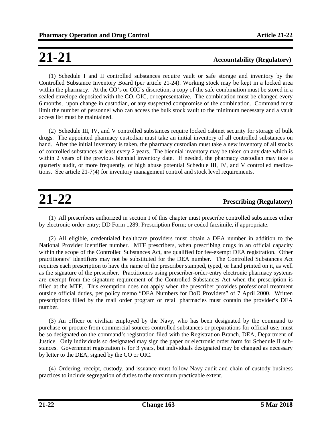## **21-21** Accountability (Regulatory)

(1) Schedule I and II controlled substances require vault or safe storage and inventory by the Controlled Substance Inventory Board (per article 21-24). Working stock may be kept in a locked area within the pharmacy. At the CO's or OIC's discretion, a copy of the safe combination must be stored in a sealed envelope deposited with the CO, OIC, or representative. The combination must be changed every 6 months, upon change in custodian, or any suspected compromise of the combination. Command must limit the number of personnel who can access the bulk stock vault to the minimum necessary and a vault access list must be maintained.

(2) Schedule III, IV, and V controlled substances require locked cabinet security for storage of bulk drugs. The appointed pharmacy custodian must take an initial inventory of all controlled substances on hand. After the initial inventory is taken, the pharmacy custodian must take a new inventory of all stocks of controlled substances at least every 2 years. The biennial inventory may be taken on any date which is within 2 years of the previous biennial inventory date. If needed, the pharmacy custodian may take a quarterly audit, or more frequently, of high abuse potential Schedule III, IV, and V controlled medications. See article 21-7(4) for inventory management control and stock level requirements.

### **21-22 Prescribing (Regulatory)**

(1) All prescribers authorized in section I of this chapter must prescribe controlled substances either by electronic-order-entry; DD Form 1289, Prescription Form; or coded facsimile, if appropriate.

(2) All eligible, credentialed healthcare providers must obtain a DEA number in addition to the National Provider Identifier number. MTF prescribers, when prescribing drugs in an official capacity within the scope of the Controlled Substances Act, are qualified for fee-exempt DEA registration. Other practitioners' identifiers may not be substituted for the DEA number. The Controlled Substances Act requires each prescription to have the name of the prescriber stamped, typed, or hand printed on it, as well as the signature of the prescriber. Practitioners using prescriber-order-entry electronic pharmacy systems are exempt from the signature requirement of the Controlled Substances Act when the prescription is filled at the MTF. This exemption does not apply when the prescriber provides professional treatment outside official duties, per policy memo "DEA Numbers for DoD Providers" of 7 April 2000. Written prescriptions filled by the mail order program or retail pharmacies must contain the provider's DEA number.

(3) An officer or civilian employed by the Navy, who has been designated by the command to purchase or procure from commercial sources controlled substances or preparations for official use, must be so designated on the command's registration filed with the Registration Branch, DEA, Department of Justice. Only individuals so designated may sign the paper or electronic order form for Schedule II substances. Government registration is for 3 years, but individuals designated may be changed as necessary by letter to the DEA, signed by the CO or OIC.

(4) Ordering, receipt, custody, and issuance must follow Navy audit and chain of custody business practices to include segregation of duties to the maximum practicable extent.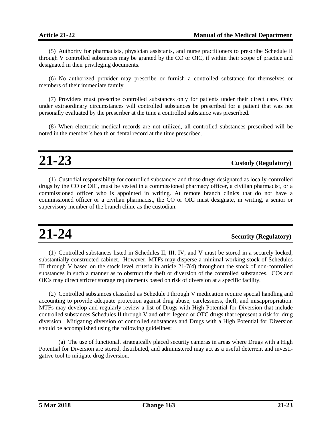(5) Authority for pharmacists, physician assistants, and nurse practitioners to prescribe Schedule II through V controlled substances may be granted by the CO or OIC, if within their scope of practice and designated in their privileging documents.

(6) No authorized provider may prescribe or furnish a controlled substance for themselves or members of their immediate family.

(7) Providers must prescribe controlled substances only for patients under their direct care. Only under extraordinary circumstances will controlled substances be prescribed for a patient that was not personally evaluated by the prescriber at the time a controlled substance was prescribed.

(8) When electronic medical records are not utilized, all controlled substances prescribed will be noted in the member's health or dental record at the time prescribed.

# **21-23 Custody (Regulatory)**

(1) Custodial responsibility for controlled substances and those drugs designated as locally-controlled drugs by the CO or OIC, must be vested in a commissioned pharmacy officer, a civilian pharmacist, or a commissioned officer who is appointed in writing. At remote branch clinics that do not have a commissioned officer or a civilian pharmacist, the CO or OIC must designate, in writing, a senior or supervisory member of the branch clinic as the custodian.

## **21-24 Security (Regulatory)**

(1) Controlled substances listed in Schedules II, III, IV, and V must be stored in a securely locked, substantially constructed cabinet. However, MTFs may disperse a minimal working stock of Schedules III through V based on the stock level criteria in article 21-7(4) throughout the stock of non-controlled substances in such a manner as to obstruct the theft or diversion of the controlled substances. COs and OICs may direct stricter storage requirements based on risk of diversion at a specific facility.

(2) Controlled substances classified as Schedule I through V medication require special handling and accounting to provide adequate protection against drug abuse, carelessness, theft, and misappropriation. MTFs may develop and regularly review a list of Drugs with High Potential for Diversion that include controlled substances Schedules II through V and other legend or OTC drugs that represent a risk for drug diversion. Mitigating diversion of controlled substances and Drugs with a High Potential for Diversion should be accomplished using the following guidelines:

(a) The use of functional, strategically placed security cameras in areas where Drugs with a High Potential for Diversion are stored, distributed, and administered may act as a useful deterrent and investigative tool to mitigate drug diversion.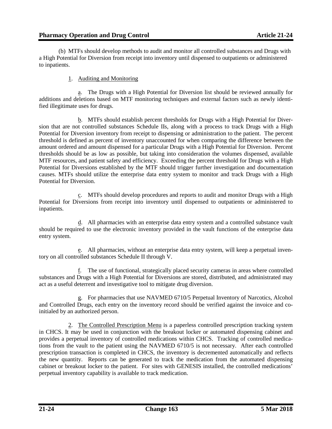(b) MTFs should develop methods to audit and monitor all controlled substances and Drugs with a High Potential for Diversion from receipt into inventory until dispensed to outpatients or administered to inpatients.

### 1. Auditing and Monitoring

a. The Drugs with a High Potential for Diversion list should be reviewed annually for additions and deletions based on MTF monitoring techniques and external factors such as newly identified illegitimate uses for drugs.

b. MTFs should establish percent thresholds for Drugs with a High Potential for Diversion that are not controlled substances Schedule IIs, along with a process to track Drugs with a High Potential for Diversion inventory from receipt to dispensing or administration to the patient. The percent threshold is defined as percent of inventory unaccounted for when comparing the difference between the amount ordered and amount dispensed for a particular Drugs with a High Potential for Diversion. Percent thresholds should be as low as possible, but taking into consideration the volumes dispensed, available MTF resources, and patient safety and efficiency. Exceeding the percent threshold for Drugs with a High Potential for Diversions established by the MTF should trigger further investigation and documentation causes. MTFs should utilize the enterprise data entry system to monitor and track Drugs with a High Potential for Diversion.

c. MTFs should develop procedures and reports to audit and monitor Drugs with a High Potential for Diversions from receipt into inventory until dispensed to outpatients or administered to inpatients.

d. All pharmacies with an enterprise data entry system and a controlled substance vault should be required to use the electronic inventory provided in the vault functions of the enterprise data entry system.

e. All pharmacies, without an enterprise data entry system, will keep a perpetual inventory on all controlled substances Schedule II through V.

f. The use of functional, strategically placed security cameras in areas where controlled substances and Drugs with a High Potential for Diversions are stored, distributed, and administrated may act as a useful deterrent and investigative tool to mitigate drug diversion.

g. For pharmacies that use NAVMED 6710/5 Perpetual Inventory of Narcotics, Alcohol and Controlled Drugs, each entry on the inventory record should be verified against the invoice and coinitialed by an authorized person.

2. The Controlled Prescription Menu is a paperless controlled prescription tracking system in CHCS. It may be used in conjunction with the breakout locker or automated dispensing cabinet and provides a perpetual inventory of controlled medications within CHCS. Tracking of controlled medications from the vault to the patient using the NAVMED 6710/5 is not necessary. After each controlled prescription transaction is completed in CHCS, the inventory is decremented automatically and reflects the new quantity. Reports can be generated to track the medication from the automated dispensing cabinet or breakout locker to the patient. For sites with GENESIS installed, the controlled medications' perpetual inventory capability is available to track medication.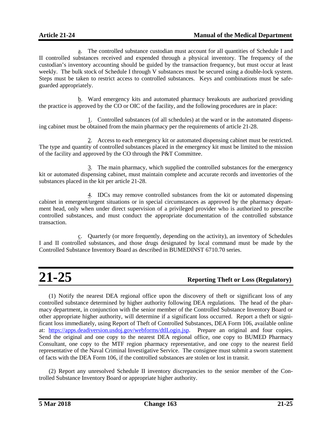a. The controlled substance custodian must account for all quantities of Schedule I and II controlled substances received and expended through a physical inventory. The frequency of the custodian's inventory accounting should be guided by the transaction frequency, but must occur at least weekly. The bulk stock of Schedule I through V substances must be secured using a double-lock system. Steps must be taken to restrict access to controlled substances. Keys and combinations must be safeguarded appropriately.

b. Ward emergency kits and automated pharmacy breakouts are authorized providing the practice is approved by the CO or OIC of the facility, and the following procedures are in place:

1. Controlled substances (of all schedules) at the ward or in the automated dispensing cabinet must be obtained from the main pharmacy per the requirements of article 21-28.

2. Access to each emergency kit or automated dispensing cabinet must be restricted. The type and quantity of controlled substances placed in the emergency kit must be limited to the mission of the facility and approved by the CO through the P&T Committee.

3. The main pharmacy, which supplied the controlled substances for the emergency kit or automated dispensing cabinet, must maintain complete and accurate records and inventories of the substances placed in the kit per article 21-28.

4. IDCs may remove controlled substances from the kit or automated dispensing cabinet in emergent/urgent situations or in special circumstances as approved by the pharmacy department head, only when under direct supervision of a privileged provider who is authorized to prescribe controlled substances, and must conduct the appropriate documentation of the controlled substance transaction.

c. Quarterly (or more frequently, depending on the activity), an inventory of Schedules I and II controlled substances, and those drugs designated by local command must be made by the Controlled Substance Inventory Board as described in BUMEDINST 6710.70 series.

### **21-25 Reporting Theft or Loss (Regulatory)**

(1) Notify the nearest DEA regional office upon the discovery of theft or significant loss of any controlled substance determined by higher authority following DEA regulations. The head of the pharmacy department, in conjunction with the senior member of the Controlled Substance Inventory Board or other appropriate higher authority, will determine if a significant loss occurred. Report a theft or significant loss immediately, using Report of Theft of Controlled Substances, DEA Form 106, available online at: [https://apps.deadiversion.usdoj.gov/webforms/dtlLogin.jsp.](https://apps.deadiversion.usdoj.gov/webforms/dtlLogin.jsp) Prepare an original and four copies. Send the original and one copy to the nearest DEA regional office, one copy to BUMED Pharmacy Consultant, one copy to the MTF region pharmacy representative, and one copy to the nearest field representative of the Naval Criminal Investigative Service. The consignee must submit a sworn statement of facts with the DEA Form 106, if the controlled substances are stolen or lost in transit.

(2) Report any unresolved Schedule II inventory discrepancies to the senior member of the Controlled Substance Inventory Board or appropriate higher authority.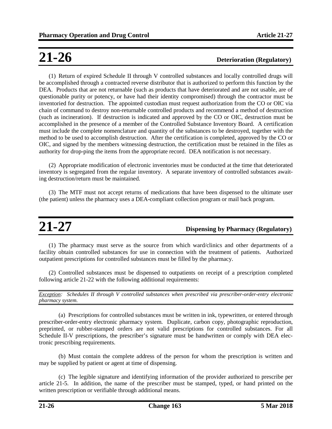## **21-26 Deterioration (Regulatory)**

(1) Return of expired Schedule II through V controlled substances and locally controlled drugs will be accomplished through a contracted reverse distributor that is authorized to perform this function by the DEA. Products that are not returnable (such as products that have deteriorated and are not usable, are of questionable purity or potency, or have had their identity compromised) through the contractor must be inventoried for destruction. The appointed custodian must request authorization from the CO or OIC via chain of command to destroy non-returnable controlled products and recommend a method of destruction (such as incineration). If destruction is indicated and approved by the CO or OIC, destruction must be accomplished in the presence of a member of the Controlled Substance Inventory Board. A certification must include the complete nomenclature and quantity of the substances to be destroyed, together with the method to be used to accomplish destruction. After the certification is completed, approved by the CO or OIC, and signed by the members witnessing destruction, the certification must be retained in the files as authority for drop-ping the items from the appropriate record. DEA notification is not necessary.

(2) Appropriate modification of electronic inventories must be conducted at the time that deteriorated inventory is segregated from the regular inventory. A separate inventory of controlled substances awaiting destruction/return must be maintained.

(3) The MTF must not accept returns of medications that have been dispensed to the ultimate user (the patient) unless the pharmacy uses a DEA-compliant collection program or mail back program.

### **21-27 Dispensing by Pharmacy (Regulatory)**

(1) The pharmacy must serve as the source from which ward/clinics and other departments of a facility obtain controlled substances for use in connection with the treatment of patients. Authorized outpatient prescriptions for controlled substances must be filled by the pharmacy.

(2) Controlled substances must be dispensed to outpatients on receipt of a prescription completed following article 21-22 with the following additional requirements:

*Exception: Schedules II through V controlled substances when prescribed via prescriber-order-entry electronic pharmacy system.*

(a) Prescriptions for controlled substances must be written in ink, typewritten, or entered through prescriber-order-entry electronic pharmacy system. Duplicate, carbon copy, photographic reproduction, preprinted, or rubber-stamped orders are not valid prescriptions for controlled substances. For all Schedule II-V prescriptions, the prescriber's signature must be handwritten or comply with DEA electronic prescribing requirements.

(b) Must contain the complete address of the person for whom the prescription is written and may be supplied by patient or agent at time of dispensing.

(c) The legible signature and identifying information of the provider authorized to prescribe per article 21-5. In addition, the name of the prescriber must be stamped, typed, or hand printed on the written prescription or verifiable through additional means.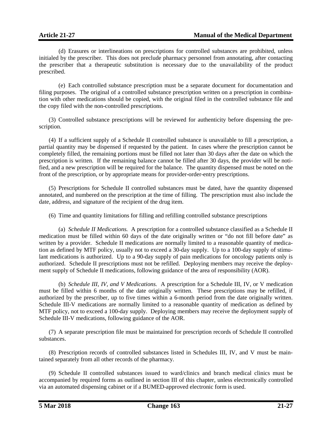(d) Erasures or interlineations on prescriptions for controlled substances are prohibited, unless initialed by the prescriber. This does not preclude pharmacy personnel from annotating, after contacting the prescriber that a therapeutic substitution is necessary due to the unavailability of the product prescribed.

(e) Each controlled substance prescription must be a separate document for documentation and filing purposes. The original of a controlled substance prescription written on a prescription in combination with other medications should be copied, with the original filed in the controlled substance file and the copy filed with the non-controlled prescriptions.

(3) Controlled substance prescriptions will be reviewed for authenticity before dispensing the prescription.

(4) If a sufficient supply of a Schedule II controlled substance is unavailable to fill a prescription, a partial quantity may be dispensed if requested by the patient. In cases where the prescription cannot be completely filled, the remaining portions must be filled not later than 30 days after the date on which the prescription is written. If the remaining balance cannot be filled after 30 days, the provider will be notified, and a new prescription will be required for the balance. The quantity dispensed must be noted on the front of the prescription, or by appropriate means for provider-order-entry prescriptions.

(5) Prescriptions for Schedule II controlled substances must be dated, have the quantity dispensed annotated, and numbered on the prescription at the time of filling. The prescription must also include the date, address, and signature of the recipient of the drug item.

(6) Time and quantity limitations for filling and refilling controlled substance prescriptions

(a) *Schedule II Medications.* A prescription for a controlled substance classified as a Schedule II medication must be filled within 60 days of the date originally written or "do not fill before date" as written by a provider. Schedule II medications are normally limited to a reasonable quantity of medication as defined by MTF policy, usually not to exceed a 30-day supply. Up to a 100-day supply of stimulant medications is authorized. Up to a 90-day supply of pain medications for oncology patients only is authorized. Schedule II prescriptions must not be refilled. Deploying members may receive the deployment supply of Schedule II medications, following guidance of the area of responsibility (AOR).

(b) *Schedule III, IV, and V Medications.* A prescription for a Schedule III, IV, or V medication must be filled within 6 months of the date originally written. These prescriptions may be refilled, if authorized by the prescriber, up to five times within a 6-month period from the date originally written. Schedule III-V medications are normally limited to a reasonable quantity of medication as defined by MTF policy, not to exceed a 100-day supply. Deploying members may receive the deployment supply of Schedule III-V medications, following guidance of the AOR.

(7) A separate prescription file must be maintained for prescription records of Schedule II controlled substances.

(8) Prescription records of controlled substances listed in Schedules III, IV, and V must be maintained separately from all other records of the pharmacy.

(9) Schedule II controlled substances issued to ward/clinics and branch medical clinics must be accompanied by required forms as outlined in section III of this chapter, unless electronically controlled via an automated dispensing cabinet or if a BUMED-approved electronic form is used.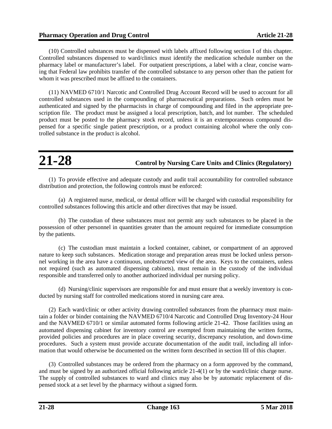(10) Controlled substances must be dispensed with labels affixed following section I of this chapter. Controlled substances dispensed to ward/clinics must identify the medication schedule number on the pharmacy label or manufacturer's label. For outpatient prescriptions, a label with a clear, concise warning that Federal law prohibits transfer of the controlled substance to any person other than the patient for whom it was prescribed must be affixed to the containers.

(11) NAVMED 6710/1 Narcotic and Controlled Drug Account Record will be used to account for all controlled substances used in the compounding of pharmaceutical preparations. Such orders must be authenticated and signed by the pharmacists in charge of compounding and filed in the appropriate prescription file. The product must be assigned a local prescription, batch, and lot number. The scheduled product must be posted to the pharmacy stock record, unless it is an extemporaneous compound dispensed for a specific single patient prescription, or a product containing alcohol where the only controlled substance in the product is alcohol.

# **21-28 Control by Nursing Care Units and Clinics (Regulatory)**

(1) To provide effective and adequate custody and audit trail accountability for controlled substance distribution and protection, the following controls must be enforced:

(a) A registered nurse, medical, or dental officer will be charged with custodial responsibility for controlled substances following this article and other directives that may be issued.

(b) The custodian of these substances must not permit any such substances to be placed in the possession of other personnel in quantities greater than the amount required for immediate consumption by the patients.

(c) The custodian must maintain a locked container, cabinet, or compartment of an approved nature to keep such substances. Medication storage and preparation areas must be locked unless personnel working in the area have a continuous, unobstructed view of the area. Keys to the containers, unless not required (such as automated dispensing cabinets), must remain in the custody of the individual responsible and transferred only to another authorized individual per nursing policy.

(d) Nursing/clinic supervisors are responsible for and must ensure that a weekly inventory is conducted by nursing staff for controlled medications stored in nursing care area.

(2) Each ward/clinic or other activity drawing controlled substances from the pharmacy must maintain a folder or binder containing the NAVMED 6710/4 Narcotic and Controlled Drug Inventory-24 Hour and the NAVMED 6710/1 or similar automated forms following article 21-42. Those facilities using an automated dispensing cabinet for inventory control are exempted from maintaining the written forms, provided policies and procedures are in place covering security, discrepancy resolution, and down-time procedures. Such a system must provide accurate documentation of the audit trail, including all information that would otherwise be documented on the written form described in section III of this chapter.

(3) Controlled substances may be ordered from the pharmacy on a form approved by the command, and must be signed by an authorized official following article 21-4(1) or by the ward/clinic charge nurse. The supply of controlled substances to ward and clinics may also be by automatic replacement of dispensed stock at a set level by the pharmacy without a signed form.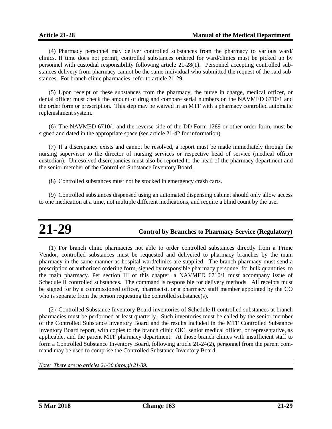(4) Pharmacy personnel may deliver controlled substances from the pharmacy to various ward/ clinics. If time does not permit, controlled substances ordered for ward/clinics must be picked up by personnel with custodial responsibility following article 21-28(1). Personnel accepting controlled substances delivery from pharmacy cannot be the same individual who submitted the request of the said substances. For branch clinic pharmacies, refer to article 21-29.

(5) Upon receipt of these substances from the pharmacy, the nurse in charge, medical officer, or dental officer must check the amount of drug and compare serial numbers on the NAVMED 6710/1 and the order form or prescription. This step may be waived in an MTF with a pharmacy controlled automatic replenishment system.

(6) The NAVMED 6710/1 and the reverse side of the DD Form 1289 or other order form, must be signed and dated in the appropriate space (see article 21-42 for information).

(7) If a discrepancy exists and cannot be resolved, a report must be made immediately through the nursing supervisor to the director of nursing services or respective head of service (medical officer custodian). Unresolved discrepancies must also be reported to the head of the pharmacy department and the senior member of the Controlled Substance Inventory Board.

(8) Controlled substances must not be stocked in emergency crash carts.

(9) Controlled substances dispensed using an automated dispensing cabinet should only allow access to one medication at a time, not multiple different medications, and require a blind count by the user.

## **21-29 Control by Branches to Pharmacy Service (Regulatory)**

(1) For branch clinic pharmacies not able to order controlled substances directly from a Prime Vendor, controlled substances must be requested and delivered to pharmacy branches by the main pharmacy in the same manner as hospital ward/clinics are supplied. The branch pharmacy must send a prescription or authorized ordering form, signed by responsible pharmacy personnel for bulk quantities, to the main pharmacy. Per section III of this chapter, a NAVMED 6710/1 must accompany issue of Schedule II controlled substances. The command is responsible for delivery methods. All receipts must be signed for by a commissioned officer, pharmacist, or a pharmacy staff member appointed by the CO who is separate from the person requesting the controlled substance(s).

(2) Controlled Substance Inventory Board inventories of Schedule II controlled substances at branch pharmacies must be performed at least quarterly. Such inventories must be called by the senior member of the Controlled Substance Inventory Board and the results included in the MTF Controlled Substance Inventory Board report, with copies to the branch clinic OIC, senior medical officer, or representative, as applicable, and the parent MTF pharmacy department. At those branch clinics with insufficient staff to form a Controlled Substance Inventory Board, following article 21-24(2), personnel from the parent command may be used to comprise the Controlled Substance Inventory Board.

*Note: There are no articles 21-30 through 21-39.*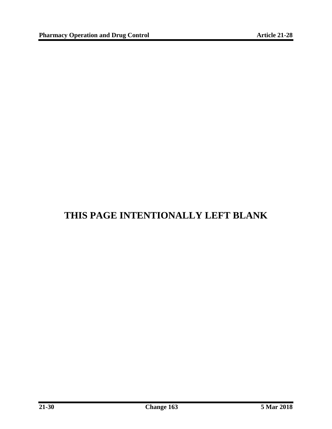### **THIS PAGE INTENTIONALLY LEFT BLANK**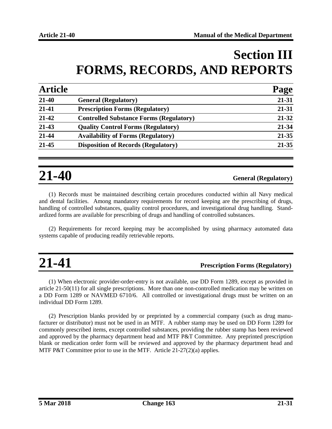## **Section III FORMS, RECORDS, AND REPORTS**

|                                                | Page  |
|------------------------------------------------|-------|
| <b>General (Regulatory)</b>                    | 21-31 |
| <b>Prescription Forms (Regulatory)</b>         | 21-31 |
| <b>Controlled Substance Forms (Regulatory)</b> | 21-32 |
| <b>Quality Control Forms (Regulatory)</b>      | 21-34 |
| <b>Availability of Forms (Regulatory)</b>      | 21-35 |
| <b>Disposition of Records (Regulatory)</b>     | 21-35 |
|                                                |       |

# **21-40 General (Regulatory)**

(1) Records must be maintained describing certain procedures conducted within all Navy medical and dental facilities. Among mandatory requirements for record keeping are the prescribing of drugs, handling of controlled substances, quality control procedures, and investigational drug handling. Standardized forms are available for prescribing of drugs and handling of controlled substances.

(2) Requirements for record keeping may be accomplished by using pharmacy automated data systems capable of producing readily retrievable reports.

**21-41 Prescription Forms (Regulatory)**

(1) When electronic provider-order-entry is not available, use DD Form 1289, except as provided in article 21-50(11) for all single prescriptions. More than one non-controlled medication may be written on a DD Form 1289 or NAVMED 6710/6. All controlled or investigational drugs must be written on an individual DD Form 1289.

(2) Prescription blanks provided by or preprinted by a commercial company (such as drug manufacturer or distributor) must not be used in an MTF. A rubber stamp may be used on DD Form 1289 for commonly prescribed items, except controlled substances, providing the rubber stamp has been reviewed and approved by the pharmacy department head and MTF P&T Committee. Any preprinted prescription blank or medication order form will be reviewed and approved by the pharmacy department head and MTF P&T Committee prior to use in the MTF. Article  $21-27(2)(a)$  applies.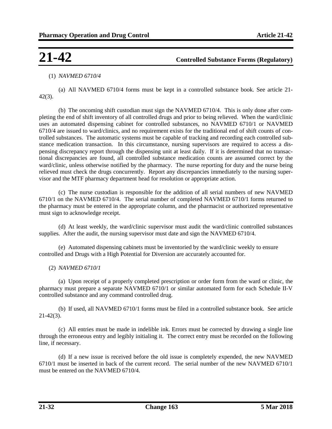### **21-42 Controlled Substance Forms (Regulatory)**

### (1) *NAVMED 6710/4*

(a) All NAVMED 6710/4 forms must be kept in a controlled substance book. See article 21- 42(3).

(b) The oncoming shift custodian must sign the NAVMED 6710/4. This is only done after completing the end of shift inventory of all controlled drugs and prior to being relieved. When the ward/clinic uses an automated dispensing cabinet for controlled substances, no NAVMED 6710/1 or NAVMED 6710/4 are issued to ward/clinics, and no requirement exists for the traditional end of shift counts of controlled substances. The automatic systems must be capable of tracking and recording each controlled substance medication transaction. In this circumstance, nursing supervisors are required to access a dispensing discrepancy report through the dispensing unit at least daily. If it is determined that no transactional discrepancies are found, all controlled substance medication counts are assumed correct by the ward/clinic, unless otherwise notified by the pharmacy. The nurse reporting for duty and the nurse being relieved must check the drugs concurrently. Report any discrepancies immediately to the nursing supervisor and the MTF pharmacy department head for resolution or appropriate action.

(c) The nurse custodian is responsible for the addition of all serial numbers of new NAVMED 6710/1 on the NAVMED 6710/4. The serial number of completed NAVMED 6710/1 forms returned to the pharmacy must be entered in the appropriate column, and the pharmacist or authorized representative must sign to acknowledge receipt.

(d) At least weekly, the ward/clinic supervisor must audit the ward/clinic controlled substances supplies. After the audit, the nursing supervisor must date and sign the NAVMED 6710/4.

(e) Automated dispensing cabinets must be inventoried by the ward/clinic weekly to ensure controlled and Drugs with a High Potential for Diversion are accurately accounted for.

### (2) *NAVMED 6710/1*

(a) Upon receipt of a properly completed prescription or order form from the ward or clinic, the pharmacy must prepare a separate NAVMED 6710/1 or similar automated form for each Schedule II-V controlled substance and any command controlled drug.

(b) If used, all NAVMED 6710/1 forms must be filed in a controlled substance book. See article 21-42(3).

(c) All entries must be made in indelible ink. Errors must be corrected by drawing a single line through the erroneous entry and legibly initialing it. The correct entry must be recorded on the following line, if necessary.

(d) If a new issue is received before the old issue is completely expended, the new NAVMED 6710/1 must be inserted in back of the current record. The serial number of the new NAVMED 6710/1 must be entered on the NAVMED 6710/4.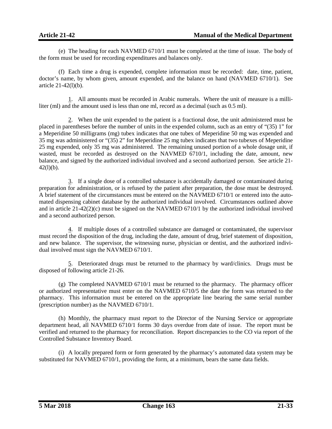(e) The heading for each NAVMED 6710/1 must be completed at the time of issue. The body of the form must be used for recording expenditures and balances only.

(f) Each time a drug is expended, complete information must be recorded: date, time, patient, doctor's name, by whom given, amount expended, and the balance on hand (NAVMED 6710/1). See article 21-42(l)(b).

1. All amounts must be recorded in Arabic numerals. Where the unit of measure is a milliliter (ml) and the amount used is less than one ml, record as a decimal (such as 0.5 ml).

2. When the unit expended to the patient is a fractional dose, the unit administered must be placed in parentheses before the number of units in the expended column, such as an entry of "(35) 1" for a Meperidine 50 milligrams (mg) tubex indicates that one tubex of Meperidine 50 mg was expended and 35 mg was administered or "(35) 2" for Meperidine 25 mg tubex indicates that two tubexes of Meperidine 25 mg expended, only 35 mg was administered. The remaining unused portion of a whole dosage unit, if wasted, must be recorded as destroyed on the NAVMED 6710/1, including the date, amount, new balance, and signed by the authorized individual involved and a second authorized person. See article 21-  $42(1)(b)$ .

3. If a single dose of a controlled substance is accidentally damaged or contaminated during preparation for administration, or is refused by the patient after preparation, the dose must be destroyed. A brief statement of the circumstances must be entered on the NAVMED 6710/1 or entered into the automated dispensing cabinet database by the authorized individual involved. Circumstances outlined above and in article 21-42(2)(c) must be signed on the NAVMED 6710/1 by the authorized individual involved and a second authorized person.

4. If multiple doses of a controlled substance are damaged or contaminated, the supervisor must record the disposition of the drug, including the date, amount of drug, brief statement of disposition, and new balance. The supervisor, the witnessing nurse, physician or dentist, and the authorized individual involved must sign the NAVMED 6710/1.

5. Deteriorated drugs must be returned to the pharmacy by ward/clinics. Drugs must be disposed of following article 21-26.

(g) The completed NAVMED 6710/1 must be returned to the pharmacy. The pharmacy officer or authorized representative must enter on the NAVMED 6710/5 the date the form was returned to the pharmacy. This information must be entered on the appropriate line bearing the same serial number (prescription number) as the NAVMED 6710/1.

(h) Monthly, the pharmacy must report to the Director of the Nursing Service or appropriate department head, all NAVMED 6710/1 forms 30 days overdue from date of issue. The report must be verified and returned to the pharmacy for reconciliation. Report discrepancies to the CO via report of the Controlled Substance Inventory Board.

(i) A locally prepared form or form generated by the pharmacy's automated data system may be substituted for NAVMED 6710/1, providing the form, at a minimum, bears the same data fields.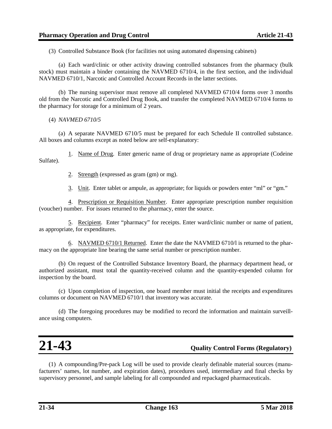(3) Controlled Substance Book (for facilities not using automated dispensing cabinets)

(a) Each ward/clinic or other activity drawing controlled substances from the pharmacy (bulk stock) must maintain a binder containing the NAVMED 6710/4, in the first section, and the individual NAVMED 6710/1, Narcotic and Controlled Account Records in the latter sections.

(b) The nursing supervisor must remove all completed NAVMED 6710/4 forms over 3 months old from the Narcotic and Controlled Drug Book, and transfer the completed NAVMED 6710/4 forms to the pharmacy for storage for a minimum of 2 years.

(4) *NAVMED 6710/5*

(a) A separate NAVMED 6710/5 must be prepared for each Schedule II controlled substance. All boxes and columns except as noted below are self-explanatory:

1. Name of Drug. Enter generic name of drug or proprietary name as appropriate (Codeine Sulfate).

2. Strength (expressed as gram (gm) or mg).

3. Unit. Enter tablet or ampule, as appropriate; for liquids or powders enter "ml" or "gm."

4. Prescription or Requisition Number. Enter appropriate prescription number requisition (voucher) number. For issues returned to the pharmacy, enter the source.

5. Recipient. Enter "pharmacy" for receipts. Enter ward/clinic number or name of patient, as appropriate, for expenditures.

6. NAVMED 6710/1 Returned. Enter the date the NAVMED 6710/l is returned to the pharmacy on the appropriate line bearing the same serial number or prescription number.

(b) On request of the Controlled Substance Inventory Board, the pharmacy department head, or authorized assistant, must total the quantity-received column and the quantity-expended column for inspection by the board.

(c) Upon completion of inspection, one board member must initial the receipts and expenditures columns or document on NAVMED 6710/1 that inventory was accurate.

(d) The foregoing procedures may be modified to record the information and maintain surveillance using computers.

## **21-43 Quality Control Forms (Regulatory)**

(1) A compounding/Pre-pack Log will be used to provide clearly definable material sources (manufacturers' names, lot number, and expiration dates), procedures used, intermediary and final checks by supervisory personnel, and sample labeling for all compounded and repackaged pharmaceuticals.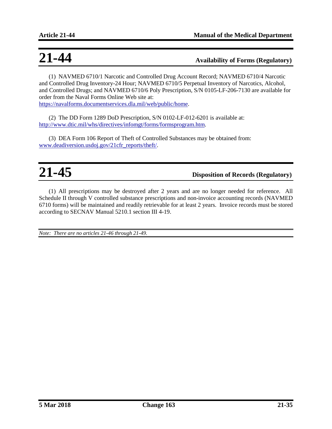### **21-44 Availability of Forms (Regulatory)**

(1) NAVMED 6710/1 Narcotic and Controlled Drug Account Record; NAVMED 6710/4 Narcotic and Controlled Drug Inventory-24 Hour; NAVMED 6710/5 Perpetual Inventory of Narcotics, Alcohol, and Controlled Drugs; and NAVMED 6710/6 Poly Prescription, S/N 0105-LF-206-7130 are available for order from the Naval Forms Online Web site at:

[https://navalforms.documentservices.dla.mil/web/public/home.](https://navalforms.documentservices.dla.mil/web/public/home)

(2) The DD Form 1289 DoD Prescription, S/N 0102-LF-012-6201 is available at: [http://www.dtic.mil/whs/directives/infomgt/forms/formsprogram.htm.](http://www.dtic.mil/whs/directives/infomgt/forms/formsprogram.htm)

(3) DEA Form 106 Report of Theft of Controlled Substances may be obtained from: [www.deadiversion.usdoj.gov/21cfr\\_reports/theft/.](http://www.deadiversion.usdoj.gov/21cfr_reports/theft/)

### **21-45 Disposition of Records (Regulatory)**

(1) All prescriptions may be destroyed after 2 years and are no longer needed for reference. All Schedule II through V controlled substance prescriptions and non-invoice accounting records (NAVMED 6710 forms) will be maintained and readily retrievable for at least 2 years. Invoice records must be stored according to SECNAV Manual 5210.1 section III 4-19.

*Note: There are no articles 21-46 through 21-49.*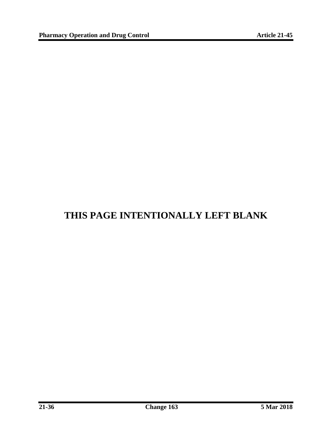### **THIS PAGE INTENTIONALLY LEFT BLANK**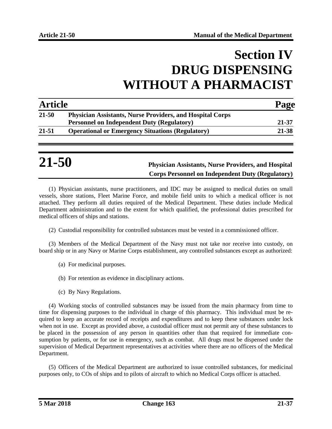## **Section IV DRUG DISPENSING WITHOUT A PHARMACIST**

| <b>Article</b> |                                                                  | Page  |
|----------------|------------------------------------------------------------------|-------|
| 21-50          | <b>Physician Assistants, Nurse Providers, and Hospital Corps</b> |       |
|                | <b>Personnel on Independent Duty (Regulatory)</b>                | 21-37 |
| 21-51          | <b>Operational or Emergency Situations (Regulatory)</b>          | 21-38 |
|                |                                                                  |       |

### **21-50 Physician Assistants, Nurse Providers, and Hospital Corps Personnel on Independent Duty (Regulatory)**

(1) Physician assistants, nurse practitioners, and IDC may be assigned to medical duties on small vessels, shore stations, Fleet Marine Force, and mobile field units to which a medical officer is not attached. They perform all duties required of the Medical Department. These duties include Medical Department administration and to the extent for which qualified, the professional duties prescribed for medical officers of ships and stations.

(2) Custodial responsibility for controlled substances must be vested in a commissioned officer.

(3) Members of the Medical Department of the Navy must not take nor receive into custody, on board ship or in any Navy or Marine Corps establishment, any controlled substances except as authorized:

- (a) For medicinal purposes.
- (b) For retention as evidence in disciplinary actions.
- (c) By Navy Regulations.

(4) Working stocks of controlled substances may be issued from the main pharmacy from time to time for dispensing purposes to the individual in charge of this pharmacy. This individual must be required to keep an accurate record of receipts and expenditures and to keep these substances under lock when not in use. Except as provided above, a custodial officer must not permit any of these substances to be placed in the possession of any person in quantities other than that required for immediate consumption by patients, or for use in emergency, such as combat. All drugs must be dispensed under the supervision of Medical Department representatives at activities where there are no officers of the Medical Department.

(5) Officers of the Medical Department are authorized to issue controlled substances, for medicinal purposes only, to COs of ships and to pilots of aircraft to which no Medical Corps officer is attached.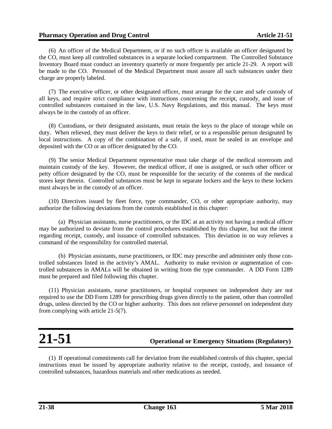(6) An officer of the Medical Department, or if no such officer is available an officer designated by the CO, must keep all controlled substances in a separate locked compartment. The Controlled Substance Inventory Board must conduct an inventory quarterly or more frequently per article 21-29. A report will be made to the CO. Personnel of the Medical Department must assure all such substances under their charge are properly labeled.

(7) The executive officer, or other designated officer, must arrange for the care and safe custody of all keys, and require strict compliance with instructions concerning the receipt, custody, and issue of controlled substances contained in the law, U.S. Navy Regulations, and this manual. The keys must always be in the custody of an officer.

(8) Custodians, or their designated assistants, must retain the keys to the place of storage while on duty. When relieved, they must deliver the keys to their relief, or to a responsible person designated by local instructions. A copy of the combination of a safe, if used, must be sealed in an envelope and deposited with the CO or an officer designated by the CO.

(9) The senior Medical Department representative must take charge of the medical storeroom and maintain custody of the key. However, the medical officer, if one is assigned, or such other officer or petty officer designated by the CO, must be responsible for the security of the contents of the medical stores kept therein. Controlled substances must be kept in separate lockers and the keys to these lockers must always be in the custody of an officer.

(10) Directives issued by fleet force, type commander, CO, or other appropriate authority, may authorize the following deviations from the controls established in this chapter:

(a) Physician assistants, nurse practitioners, or the IDC at an activity not having a medical officer may be authorized to deviate from the control procedures established by this chapter, but not the intent regarding receipt, custody, and issuance of controlled substances. This deviation in no way relieves a command of the responsibility for controlled material.

(b) Physician assistants, nurse practitioners, or IDC may prescribe and administer only those controlled substances listed in the activity's AMAL. Authority to make revision or augmentation of controlled substances in AMALs will be obtained in writing from the type commander. A DD Form 1289 must be prepared and filed following this chapter.

(11) Physician assistants, nurse practitioners, or hospital corpsmen on independent duty are not required to use the DD Form 1289 for prescribing drugs given directly to the patient, other than controlled drugs, unless directed by the CO or higher authority. This does not relieve personnel on independent duty from complying with article 21-5(7).

### **21-51 Operational or Emergency Situations (Regulatory)**

(1) If operational commitments call for deviation from the established controls of this chapter, special instructions must be issued by appropriate authority relative to the receipt, custody, and issuance of controlled substances, hazardous materials and other medications as needed.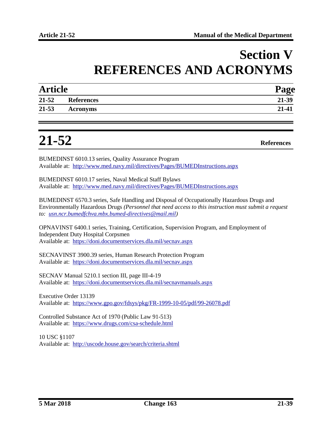## **Section V REFERENCES AND ACRONYMS**

| <b>Article</b> |                   | <b>Page</b> |
|----------------|-------------------|-------------|
| 21-52          | <b>References</b> | 21-39       |
| 21-53          | <b>Acronyms</b>   | 21-41       |
|                |                   |             |

## **21-52 References**

BUMEDINST 6010.13 series, Quality Assurance Program Available at: <http://www.med.navy.mil/directives/Pages/BUMEDInstructions.aspx>

BUMEDINST 6010.17 series, Naval Medical Staff Bylaws Available at: <http://www.med.navy.mil/directives/Pages/BUMEDInstructions.aspx>

BUMEDINST 6570.3 series, Safe Handling and Disposal of Occupationally Hazardous Drugs and Environmentally Hazardous Drugs *(Personnel that need access to this instruction must submit a request to: [usn.ncr.bumedfchva.mbx.bumed-directives@mail.mil\)](mailto:usn.ncr.bumedfchva.mbx.bumed-directives@mail.mil)*

OPNAVINST 6400.1 series, Training, Certification, Supervision Program, and Employment of Independent Duty Hospital Corpsmen Available at: <https://doni.documentservices.dla.mil/secnav.aspx>

SECNAVINST 3900.39 series, Human Research Protection Program Available at: <https://doni.documentservices.dla.mil/secnav.aspx>

SECNAV Manual 5210.1 section III, page III-4-19 Available at: <https://doni.documentservices.dla.mil/secnavmanuals.aspx>

Executive Order 13139 Available at: <https://www.gpo.gov/fdsys/pkg/FR-1999-10-05/pdf/99-26078.pdf>

Controlled Substance Act of 1970 (Public Law 91-513) Available at: <https://www.drugs.com/csa-schedule.html>

10 USC §1107 Available at: <http://uscode.house.gov/search/criteria.shtml>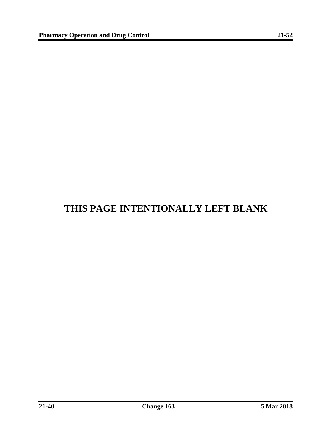### **THIS PAGE INTENTIONALLY LEFT BLANK**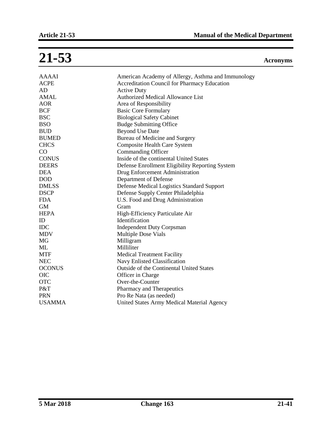| 21-53         |                                                    | <b>Acronyms</b> |
|---------------|----------------------------------------------------|-----------------|
| <b>AAAAI</b>  | American Academy of Allergy, Asthma and Immunology |                 |
| <b>ACPE</b>   | Accreditation Council for Pharmacy Education       |                 |
| AD            | <b>Active Duty</b>                                 |                 |
| <b>AMAL</b>   | <b>Authorized Medical Allowance List</b>           |                 |
| <b>AOR</b>    | Area of Responsibility                             |                 |
| <b>BCF</b>    | <b>Basic Core Formulary</b>                        |                 |
| <b>BSC</b>    | <b>Biological Safety Cabinet</b>                   |                 |
| <b>BSO</b>    | <b>Budge Submitting Office</b>                     |                 |
| <b>BUD</b>    | <b>Beyond Use Date</b>                             |                 |
| <b>BUMED</b>  | Bureau of Medicine and Surgery                     |                 |
| <b>CHCS</b>   | <b>Composite Health Care System</b>                |                 |
| CO            | <b>Commanding Officer</b>                          |                 |
| <b>CONUS</b>  | Inside of the continental United States            |                 |
| <b>DEERS</b>  | Defense Enrollment Eligibility Reporting System    |                 |
| <b>DEA</b>    | Drug Enforcement Administration                    |                 |
| <b>DOD</b>    | Department of Defense                              |                 |
| <b>DMLSS</b>  | Defense Medical Logistics Standard Support         |                 |
| <b>DSCP</b>   | Defense Supply Center Philadelphia                 |                 |
| <b>FDA</b>    | U.S. Food and Drug Administration                  |                 |
| <b>GM</b>     | Gram                                               |                 |
| <b>HEPA</b>   | High-Efficiency Particulate Air                    |                 |
| ID            | Identification                                     |                 |
| <b>IDC</b>    | <b>Independent Duty Corpsman</b>                   |                 |
| <b>MDV</b>    | <b>Multiple Dose Vials</b>                         |                 |
| MG            | Milligram                                          |                 |
| ML            | Milliliter                                         |                 |
| <b>MTF</b>    | <b>Medical Treatment Facility</b>                  |                 |
| <b>NEC</b>    | Navy Enlisted Classification                       |                 |
| <b>OCONUS</b> | <b>Outside of the Continental United States</b>    |                 |
| <b>OIC</b>    | Officer in Charge                                  |                 |
| <b>OTC</b>    | Over-the-Counter                                   |                 |
| P&T           | Pharmacy and Therapeutics                          |                 |
| <b>PRN</b>    | Pro Re Nata (as needed)                            |                 |
| <b>USAMMA</b> | United States Army Medical Material Agency         |                 |